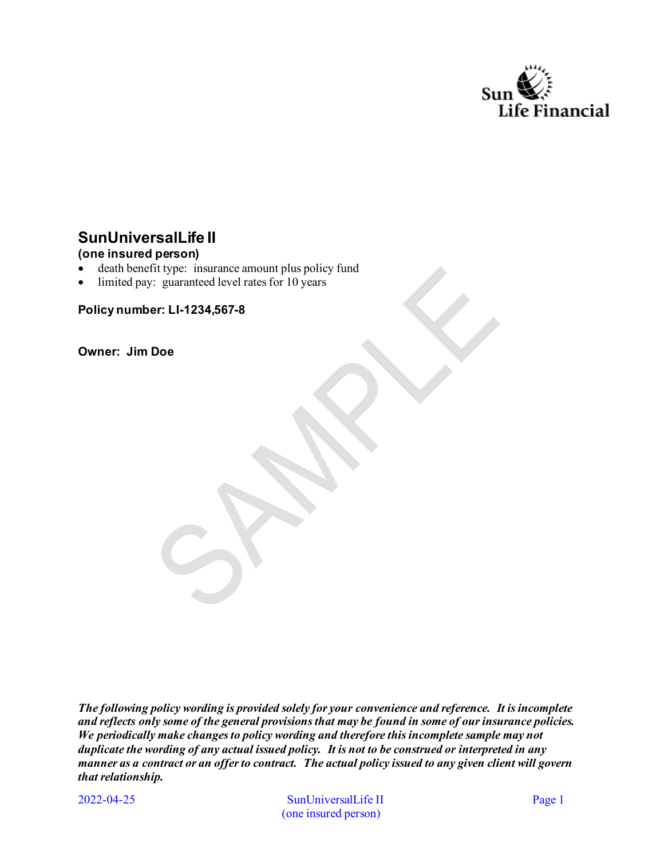

# **SunUniversalLife II**

## **(one insured person)**

- death benefit type: insurance amount plus policy fund
- limited pay: guaranteed level rates for 10 years

**Policy number: LI-1234,567-8** 

**Owner: Jim Doe**

*The following policy wording is provided solely for your convenience and reference. It is incomplete and reflects only some of the general provisions that may be found in some of our insurance policies. We periodically make changes to policy wording and therefore this incomplete sample may not duplicate the wording of any actual issued policy. It is not to be construed or interpreted in any manner as a contract or an offer to contract. The actual policy issued to any given client will govern that relationship.* 

2022-04-25

SunUniversalLife II Page 1 (one insured person)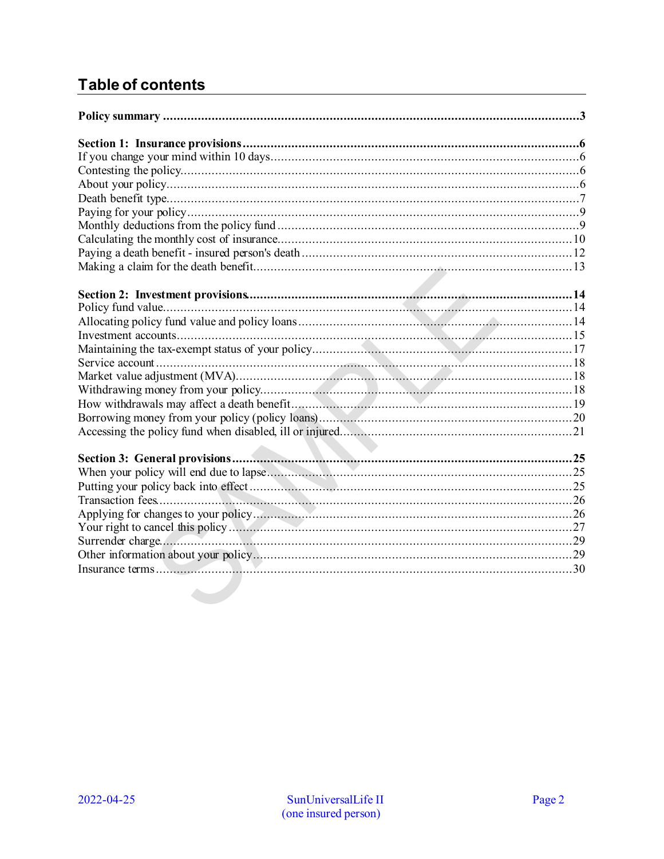# **Table of contents**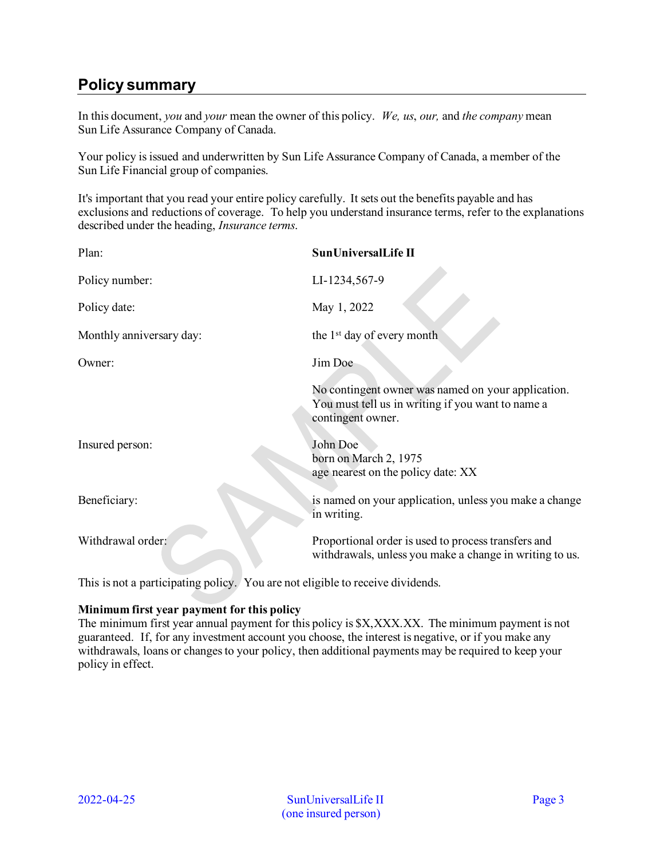# <span id="page-2-0"></span>**Policy summary**

In this document, *you* and *your* mean the owner of this policy. *We, us*, *our,* and *the company* mean Sun Life Assurance Company of Canada.

Your policy is issued and underwritten by Sun Life Assurance Company of Canada, a member of the Sun Life Financial group of companies.

It's important that you read your entire policy carefully. It sets out the benefits payable and has exclusions and reductions of coverage. To help you understand insurance terms, refer to the explanations described under the heading, *Insurance terms*.

| Plan:                    | SunUniversalLife II                                                                                                          |
|--------------------------|------------------------------------------------------------------------------------------------------------------------------|
| Policy number:           | LI-1234,567-9                                                                                                                |
| Policy date:             | May 1, 2022                                                                                                                  |
| Monthly anniversary day: | the 1 <sup>st</sup> day of every month                                                                                       |
| Owner:                   | Jim Doe                                                                                                                      |
|                          | No contingent owner was named on your application.<br>You must tell us in writing if you want to name a<br>contingent owner. |
| Insured person:          | John Doe<br>born on March 2, 1975<br>age nearest on the policy date: XX                                                      |
| Beneficiary:             | is named on your application, unless you make a change<br>in writing.                                                        |
| Withdrawal order:        | Proportional order is used to process transfers and<br>withdrawals, unless you make a change in writing to us.               |
|                          |                                                                                                                              |

This is not a participating policy. You are not eligible to receive dividends.

#### **Minimum first year payment for this policy**

The minimum first year annual payment for this policy is \$X,XXX.XX. The minimum payment is not guaranteed. If, for any investment account you choose, the interest is negative, or if you make any withdrawals, loans or changes to your policy, then additional payments may be required to keep your policy in effect.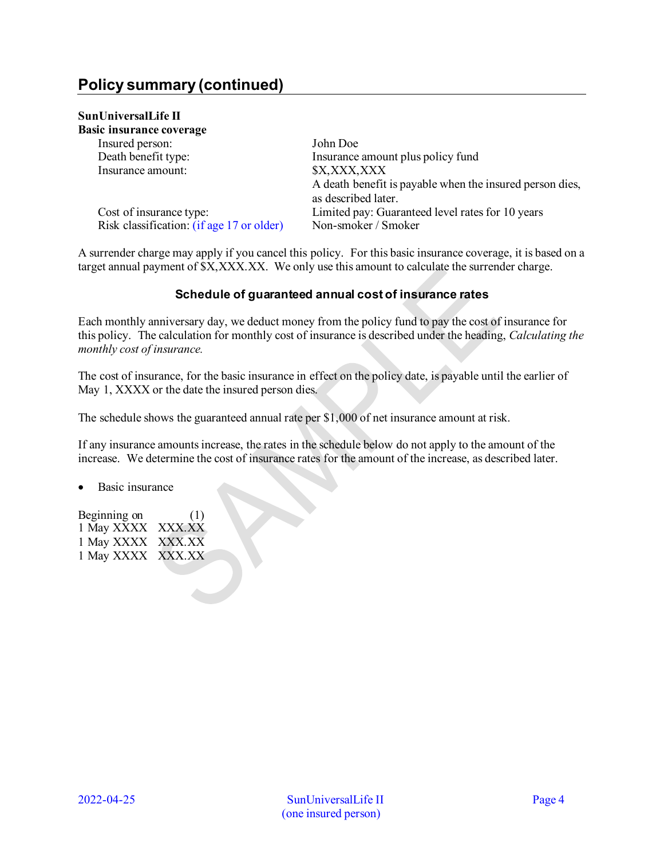# **Policy summary (continued)**

## **SunUniversalLife II**

| Basic insurance coverage                  |                                                          |
|-------------------------------------------|----------------------------------------------------------|
| Insured person:                           | John Doe                                                 |
| Death benefit type:                       | Insurance amount plus policy fund                        |
| Insurance amount:                         | \$X,XXX,XXX                                              |
|                                           | A death benefit is payable when the insured person dies, |
|                                           | as described later.                                      |
| Cost of insurance type:                   | Limited pay: Guaranteed level rates for 10 years         |
| Risk classification: (if age 17 or older) | Non-smoker / Smoker                                      |

A surrender charge may apply if you cancel this policy. For this basic insurance coverage, it is based on a target annual payment of \$X,XXX.XX. We only use this amount to calculate the surrender charge.

## **Schedule of guaranteed annual cost of insurance rates**

Each monthly anniversary day, we deduct money from the policy fund to pay the cost of insurance for this policy. The calculation for monthly cost of insurance is described under the heading, *Calculating the monthly cost of insurance.*

The cost of insurance, for the basic insurance in effect on the policy date, is payable until the earlier of May 1, XXXX or the date the insured person dies.

The schedule shows the guaranteed annual rate per \$1,000 of net insurance amount at risk.

If any insurance amounts increase, the rates in the schedule below do not apply to the amount of the increase. We determine the cost of insurance rates for the amount of the increase, as described later.

• Basic insurance

Beginning on (1) 1 May XXXX XXX.XX 1 May XXXX XXX.XX 1 May XXXX XXX.XX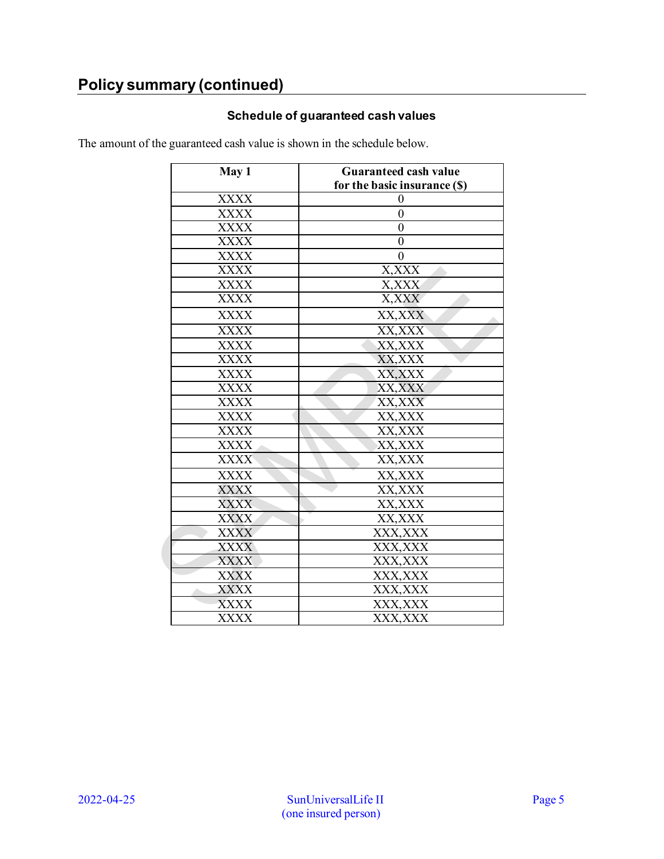# **Policy summary (continued)**

## **Schedule of guaranteed cash values**

The amount of the guaranteed cash value is shown in the schedule below.

| May 1       | <b>Guaranteed cash value</b> |  |
|-------------|------------------------------|--|
|             | for the basic insurance (\$) |  |
| <b>XXXX</b> | 0                            |  |
| <b>XXXX</b> | $\overline{0}$               |  |
| <b>XXXX</b> | $\overline{0}$               |  |
| $\rm XXXX$  | $\boldsymbol{0}$             |  |
| <b>XXXX</b> | $\overline{0}$               |  |
| <b>XXXX</b> | X, XXX                       |  |
| XXXX        | X,XXX                        |  |
| <b>XXXX</b> | X, XXX                       |  |
| <b>XXXX</b> | XX, XXX                      |  |
| <b>XXXX</b> | XX, XXX                      |  |
| <b>XXXX</b> | XX, XXX                      |  |
| <b>XXXX</b> | XX, XXX                      |  |
| <b>XXXX</b> | XX, XXX                      |  |
| <b>XXXX</b> | XX, XXX                      |  |
| <b>XXXX</b> | XX, XXX                      |  |
| <b>XXXX</b> | XX, XXX                      |  |
| <b>XXXX</b> | XX, XXX                      |  |
| <b>XXXX</b> | XX, XXX                      |  |
| <b>XXXX</b> | XX, XXX                      |  |
| <b>XXXX</b> | XX, XXX                      |  |
| <b>XXXX</b> | XX, XXX                      |  |
| <b>XXXX</b> | XX, XXX                      |  |
| <b>XXXX</b> | XX, XXX                      |  |
| <b>XXXX</b> | XXX, XXX                     |  |
| <b>XXXX</b> | XXX, XXX                     |  |
| <b>XXXX</b> | XXX, XXX                     |  |
| <b>XXXX</b> | XXX, XXX                     |  |
| <b>XXXX</b> | XXX, XXX                     |  |
| <b>XXXX</b> | XXX,XXX                      |  |
| <b>XXXX</b> | XXX, XXX                     |  |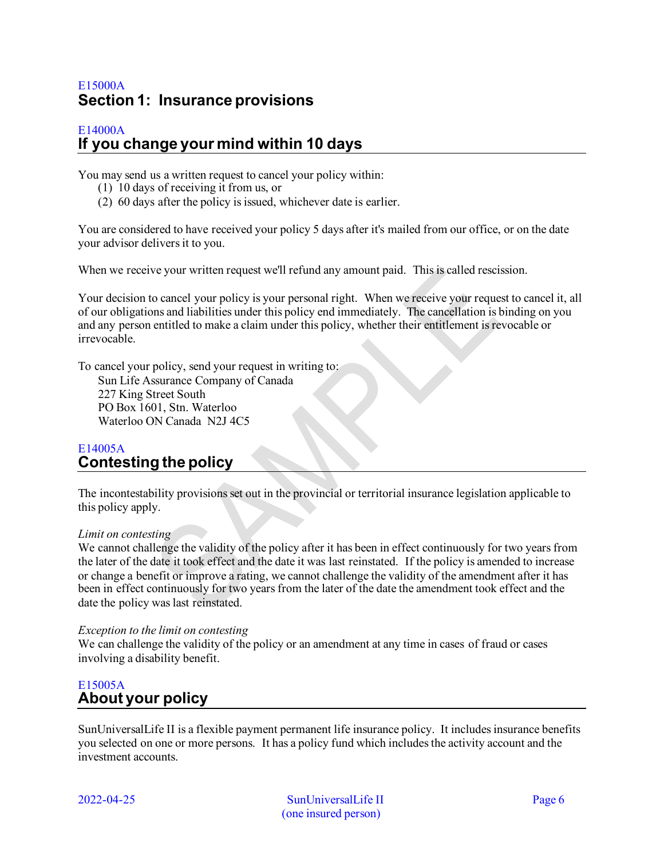## <span id="page-5-0"></span>E15000A **Section 1: Insurance provisions**

## <span id="page-5-1"></span>E14000A **If you change your mind within 10 days**

You may send us a written request to cancel your policy within:

- (1) 10 days of receiving it from us, or
- (2) 60 days after the policy is issued, whichever date is earlier.

You are considered to have received your policy 5 days after it's mailed from our office, or on the date your advisor delivers it to you.

When we receive your written request we'll refund any amount paid. This is called rescission.

Your decision to cancel your policy is your personal right. When we receive your request to cancel it, all of our obligations and liabilities under this policy end immediately. The cancellation is binding on you and any person entitled to make a claim under this policy, whether their entitlement is revocable or irrevocable.

To cancel your policy, send your request in writing to:

Sun Life Assurance Company of Canada 227 King Street South PO Box 1601, Stn. Waterloo Waterloo ON Canada N2J 4C5

## <span id="page-5-2"></span>E14005A **Contesting the policy**

The incontestability provisions set out in the provincial or territorial insurance legislation applicable to this policy apply.

#### *Limit on contesting*

We cannot challenge the validity of the policy after it has been in effect continuously for two years from the later of the date it took effect and the date it was last reinstated. If the policy is amended to increase or change a benefit or improve a rating, we cannot challenge the validity of the amendment after it has been in effect continuously for two years from the later of the date the amendment took effect and the date the policy was last reinstated.

#### *Exception to the limit on contesting*

We can challenge the validity of the policy or an amendment at any time in cases of fraud or cases involving a disability benefit.

## <span id="page-5-3"></span>E15005A **About your policy**

SunUniversalLife II is a flexible payment permanent life insurance policy. It includes insurance benefits you selected on one or more persons. It has a policy fund which includes the activity account and the investment accounts.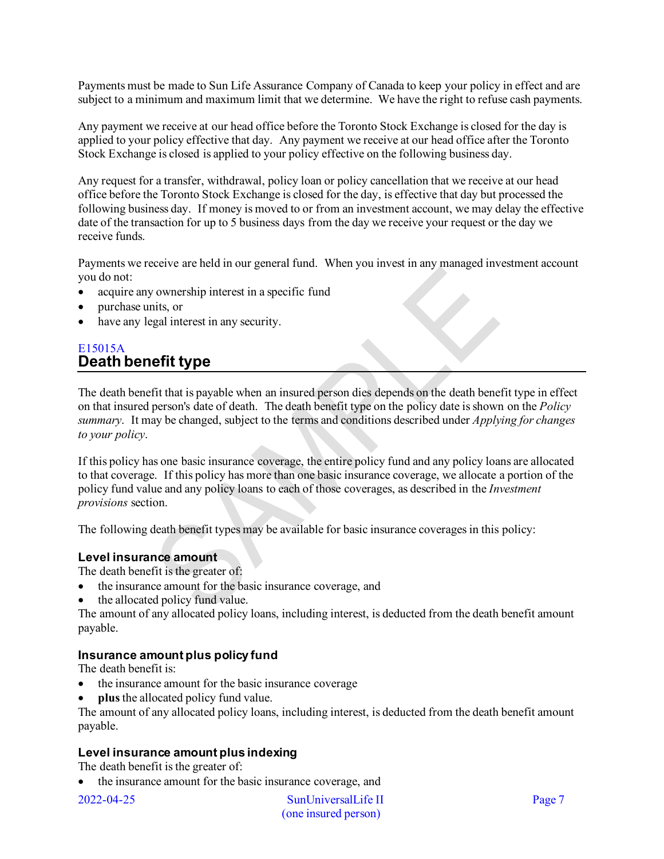Payments must be made to Sun Life Assurance Company of Canada to keep your policy in effect and are subject to a minimum and maximum limit that we determine. We have the right to refuse cash payments.

Any payment we receive at our head office before the Toronto Stock Exchange is closed for the day is applied to your policy effective that day. Any payment we receive at our head office after the Toronto Stock Exchange is closed is applied to your policy effective on the following business day.

Any request for a transfer, withdrawal, policy loan or policy cancellation that we receive at our head office before the Toronto Stock Exchange is closed for the day, is effective that day but processed the following business day. If money is moved to or from an investment account, we may delay the effective date of the transaction for up to 5 business days from the day we receive your request or the day we receive funds.

Payments we receive are held in our general fund. When you invest in any managed investment account you do not:

- acquire any ownership interest in a specific fund
- purchase units, or
- have any legal interest in any security.

## <span id="page-6-0"></span>E15015A **Death benefit type**

The death benefit that is payable when an insured person dies depends on the death benefit type in effect on that insured person's date of death. The death benefit type on the policy date is shown on the *Policy summary*. It may be changed, subject to the terms and conditions described under *Applying for changes to your policy*.

If this policy has one basic insurance coverage, the entire policy fund and any policy loans are allocated to that coverage. If this policy has more than one basic insurance coverage, we allocate a portion of the policy fund value and any policy loans to each of those coverages, as described in the *Investment provisions* section.

The following death benefit types may be available for basic insurance coverages in this policy:

#### **Level insurance amount**

The death benefit is the greater of:

- the insurance amount for the basic insurance coverage, and
- the allocated policy fund value.

The amount of any allocated policy loans, including interest, is deducted from the death benefit amount payable.

## **Insurance amount plus policy fund**

The death benefit is:

- the insurance amount for the basic insurance coverage
- **plus** the allocated policy fund value.

The amount of any allocated policy loans, including interest, is deducted from the death benefit amount payable.

## **Level insurance amount plus indexing**

The death benefit is the greater of:

• the insurance amount for the basic insurance coverage, and

2022-04-25 SunUniversalLife II Page 7 (one insured person)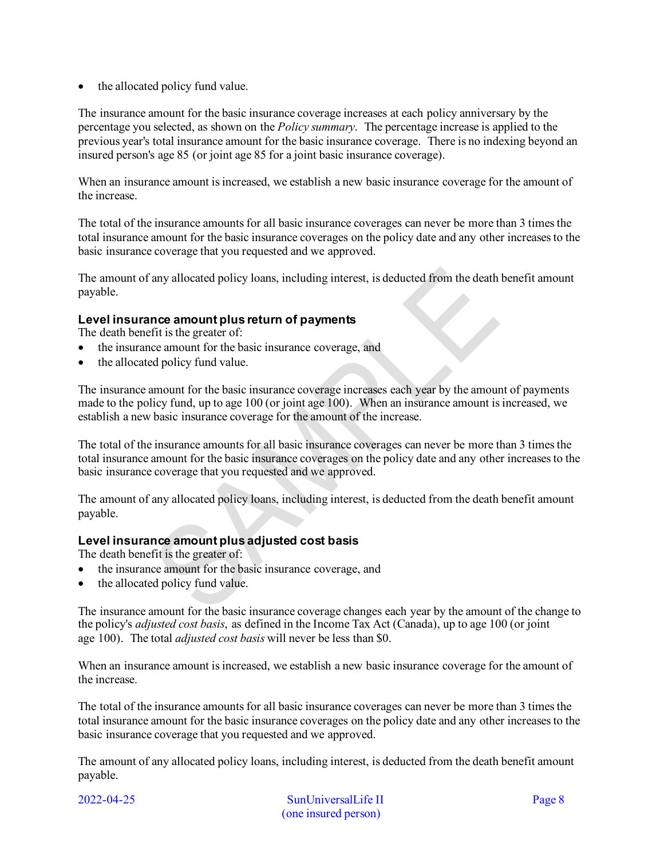• the allocated policy fund value.

The insurance amount for the basic insurance coverage increases at each policy anniversary by the percentage you selected, as shown on the *Policy summary*. The percentage increase is applied to the previous year's total insurance amount for the basic insurance coverage. There is no indexing beyond an insured person's age 85 (or joint age 85 for a joint basic insurance coverage).

When an insurance amount is increased, we establish a new basic insurance coverage for the amount of the increase.

The total of the insurance amounts for all basic insurance coverages can never be more than 3 times the total insurance amount for the basic insurance coverages on the policy date and any other increases to the basic insurance coverage that you requested and we approved.

The amount of any allocated policy loans, including interest, is deducted from the death benefit amount payable.

## **Level insurance amount plus return of payments**

The death benefit is the greater of:

- the insurance amount for the basic insurance coverage, and
- the allocated policy fund value.

The insurance amount for the basic insurance coverage increases each year by the amount of payments made to the policy fund, up to age 100 (or joint age 100). When an insurance amount is increased, we establish a new basic insurance coverage for the amount of the increase.

The total of the insurance amounts for all basic insurance coverages can never be more than 3 times the total insurance amount for the basic insurance coverages on the policy date and any other increases to the basic insurance coverage that you requested and we approved.

The amount of any allocated policy loans, including interest, is deducted from the death benefit amount payable.

## **Level insurance amount plus adjusted cost basis**

The death benefit is the greater of:

- the insurance amount for the basic insurance coverage, and
- the allocated policy fund value.

The insurance amount for the basic insurance coverage changes each year by the amount of the change to the policy's *adjusted cost basis*, as defined in the Income Tax Act (Canada), up to age 100 (or joint age 100). The total *adjusted cost basis* will never be less than \$0.

When an insurance amount is increased, we establish a new basic insurance coverage for the amount of the increase.

The total of the insurance amounts for all basic insurance coverages can never be more than 3 times the total insurance amount for the basic insurance coverages on the policy date and any other increases to the basic insurance coverage that you requested and we approved.

The amount of any allocated policy loans, including interest, is deducted from the death benefit amount payable.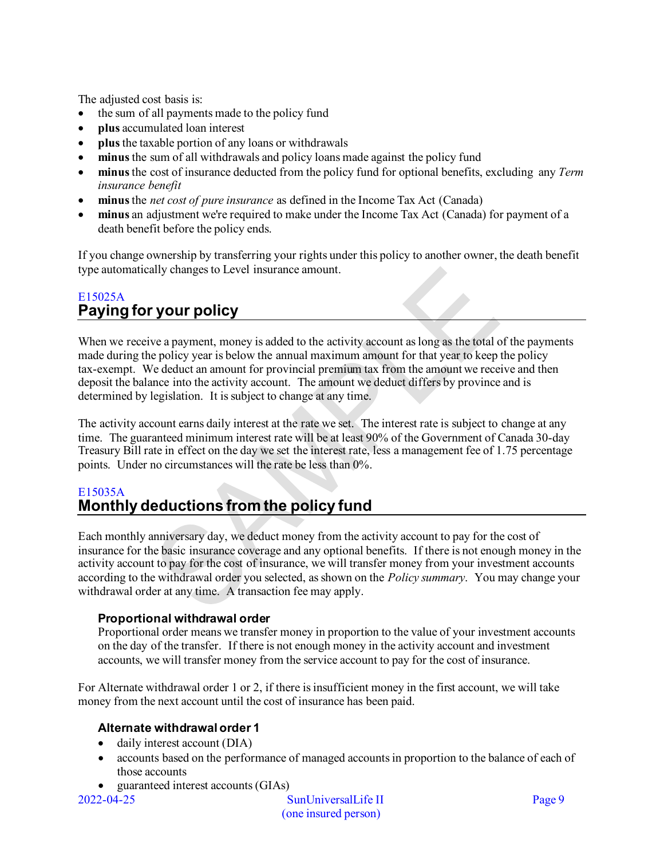The adjusted cost basis is:

- the sum of all payments made to the policy fund
- **plus** accumulated loan interest
- **plus**the taxable portion of any loans or withdrawals
- **minus**the sum of all withdrawals and policy loans made against the policy fund
- **minus**the cost of insurance deducted from the policy fund for optional benefits, excluding any *Term insurance benefit*
- **minus** the *net cost of pure insurance* as defined in the Income Tax Act (Canada)
- **minus** an adjustment we're required to make under the Income Tax Act (Canada) for payment of a death benefit before the policy ends.

If you change ownership by transferring your rights under this policy to another owner, the death benefit type automatically changes to Level insurance amount.

## <span id="page-8-0"></span>E15025A **Paying for your policy**

When we receive a payment, money is added to the activity account as long as the total of the payments made during the policy year is below the annual maximum amount for that year to keep the policy tax-exempt. We deduct an amount for provincial premium tax from the amount we receive and then deposit the balance into the activity account. The amount we deduct differs by province and is determined by legislation. It is subject to change at any time.

The activity account earns daily interest at the rate we set. The interest rate is subject to change at any time. The guaranteed minimum interest rate will be at least 90% of the Government of Canada 30-day Treasury Bill rate in effect on the day we set the interest rate, less a management fee of 1.75 percentage points. Under no circumstances will the rate be less than 0%.

## <span id="page-8-1"></span>E15035A **Monthly deductions from the policy fund**

Each monthly anniversary day, we deduct money from the activity account to pay for the cost of insurance for the basic insurance coverage and any optional benefits. If there is not enough money in the activity account to pay for the cost of insurance, we will transfer money from your investment accounts according to the withdrawal order you selected, as shown on the *Policy summary*. You may change your withdrawal order at any time. A transaction fee may apply.

## **Proportional withdrawal order**

Proportional order means we transfer money in proportion to the value of your investment accounts on the day of the transfer. If there is not enough money in the activity account and investment accounts, we will transfer money from the service account to pay for the cost of insurance.

For Alternate withdrawal order 1 or 2, if there is insufficient money in the first account, we will take money from the next account until the cost of insurance has been paid.

## **Alternate withdrawal order 1**

- daily interest account (DIA)
- accounts based on the performance of managed accounts in proportion to the balance of each of those accounts
- guaranteed interest accounts (GIAs)

2022-04-25 SunUniversalLife II Page 9 (one insured person)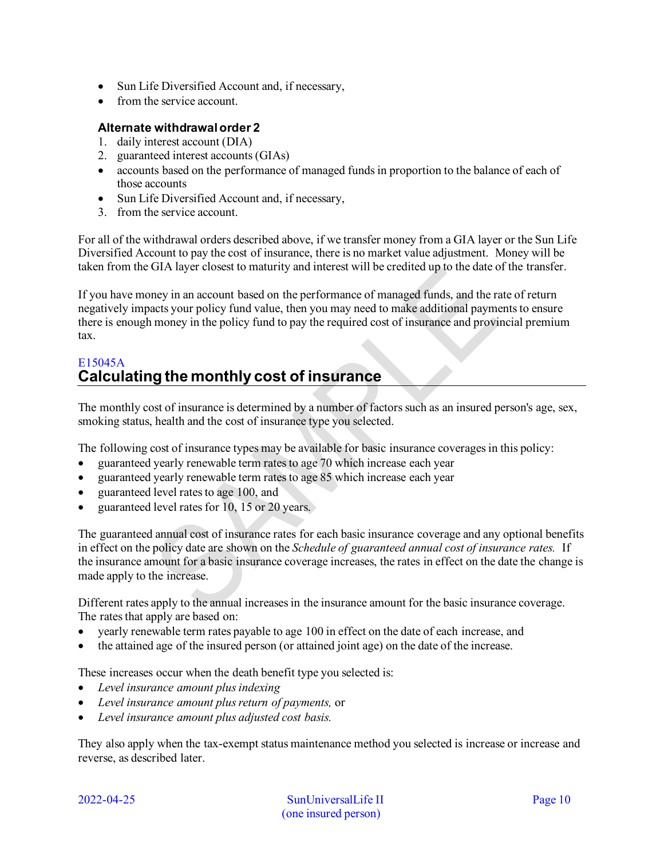- Sun Life Diversified Account and, if necessary,
- from the service account.

## **Alternate withdrawal order 2**

- 1. daily interest account (DIA)
- 2. guaranteed interest accounts (GIAs)
- accounts based on the performance of managed funds in proportion to the balance of each of those accounts
- Sun Life Diversified Account and, if necessary,
- 3. from the service account.

For all of the withdrawal orders described above, if we transfer money from a GIA layer or the Sun Life Diversified Account to pay the cost of insurance, there is no market value adjustment. Money will be taken from the GIA layer closest to maturity and interest will be credited up to the date of the transfer.

If you have money in an account based on the performance of managed funds, and the rate of return negatively impacts your policy fund value, then you may need to make additional payments to ensure there is enough money in the policy fund to pay the required cost of insurance and provincial premium tax.

## <span id="page-9-0"></span>E15045A **Calculating the monthly cost of insurance**

The monthly cost of insurance is determined by a number of factors such as an insured person's age, sex, smoking status, health and the cost of insurance type you selected.

The following cost of insurance types may be available for basic insurance coverages in this policy:

- guaranteed yearly renewable term rates to age 70 which increase each year
- guaranteed yearly renewable term rates to age 85 which increase each year
- guaranteed level rates to age 100, and
- guaranteed level rates for 10, 15 or 20 years.

The guaranteed annual cost of insurance rates for each basic insurance coverage and any optional benefits in effect on the policy date are shown on the *Schedule of guaranteed annual cost of insurance rates.* If the insurance amount for a basic insurance coverage increases, the rates in effect on the date the change is made apply to the increase.

Different rates apply to the annual increases in the insurance amount for the basic insurance coverage. The rates that apply are based on:

- yearly renewable term rates payable to age 100 in effect on the date of each increase, and
- the attained age of the insured person (or attained joint age) on the date of the increase.

These increases occur when the death benefit type you selected is:

- *Level insurance amount plus indexing*
- *Level insurance amount plus return of payments,* or
- *Level insurance amount plus adjusted cost basis.*

They also apply when the tax-exempt status maintenance method you selected is increase or increase and reverse, as described later.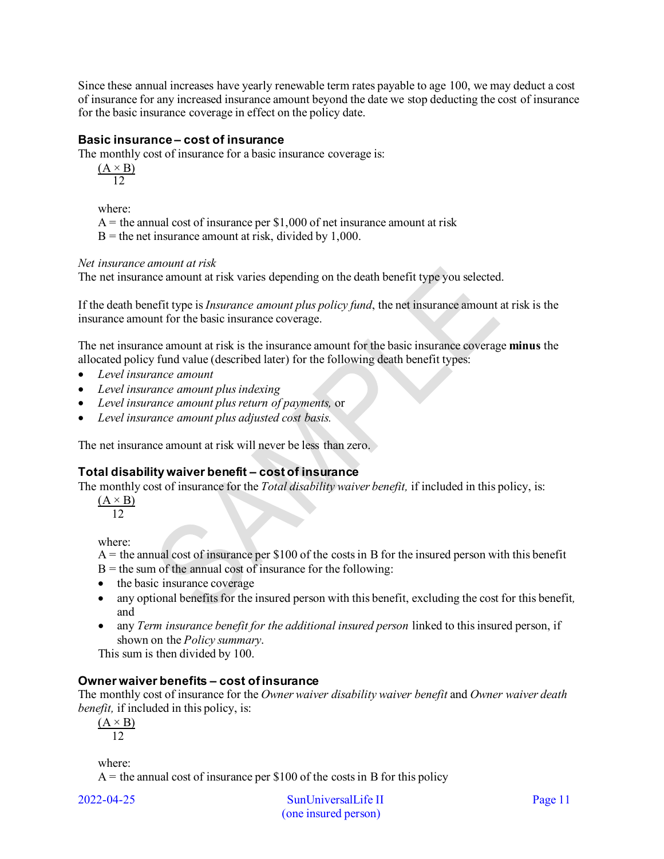Since these annual increases have yearly renewable term rates payable to age 100, we may deduct a cost of insurance for any increased insurance amount beyond the date we stop deducting the cost of insurance for the basic insurance coverage in effect on the policy date.

### **Basic insurance – cost of insurance**

The monthly cost of insurance for a basic insurance coverage is:

 $(A \times B)$ 12

where:

 $A =$  the annual cost of insurance per \$1,000 of net insurance amount at risk

 $B =$  the net insurance amount at risk, divided by 1,000.

#### *Net insurance amount at risk*

The net insurance amount at risk varies depending on the death benefit type you selected.

If the death benefit type is *Insurance amount plus policy fund*, the net insurance amount at risk is the insurance amount for the basic insurance coverage.

The net insurance amount at risk is the insurance amount for the basic insurance coverage **minus** the allocated policy fund value (described later) for the following death benefit types:

- *Level insurance amount*
- *Level insurance amount plus indexing*
- *Level insurance amount plus return of payments,* or
- *Level insurance amount plus adjusted cost basis.*

The net insurance amount at risk will never be less than zero.

## **Total disability waiver benefit – cost of insurance**

The monthly cost of insurance for the *Total disability waiver benefit,* if included in this policy, is:

 $(A \times B)$  $12$ 

where:

- $A =$  the annual cost of insurance per \$100 of the costs in B for the insured person with this benefit
- $B =$  the sum of the annual cost of insurance for the following:
- the basic insurance coverage
- any optional benefits for the insured person with this benefit, excluding the cost for this benefit*,* and
- any *Term insurance benefit for the additional insured person* linked to this insured person, if shown on the *Policy summary*.

This sum is then divided by 100.

#### **Owner waiver benefits – cost of insurance**

The monthly cost of insurance for the *Owner waiver disability waiver benefit* and *Owner waiver death benefit,* if included in this policy, is:

 $(A \times B)$ 12

where:

 $A =$  the annual cost of insurance per \$100 of the costs in B for this policy

2022-04-25 SunUniversalLife II Page 11 (one insured person)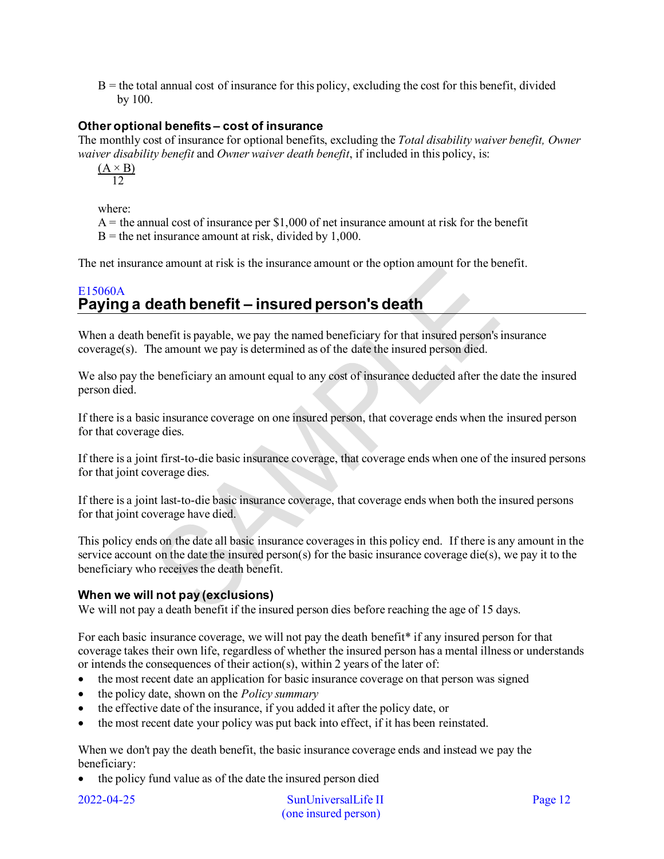$B =$  the total annual cost of insurance for this policy, excluding the cost for this benefit, divided by 100.

## **Other optional benefits – cost of insurance**

The monthly cost of insurance for optional benefits, excluding the *Total disability waiver benefit, Owner waiver disability benefit* and *Owner waiver death benefit*, if included in this policy, is:

 $(A \times B)$ 12

where:

 $A =$  the annual cost of insurance per \$1,000 of net insurance amount at risk for the benefit  $B =$  the net insurance amount at risk, divided by 1,000.

The net insurance amount at risk is the insurance amount or the option amount for the benefit.

## <span id="page-11-0"></span>E15060A **Paying a death benefit – insured person's death**

When a death benefit is payable, we pay the named beneficiary for that insured person's insurance coverage(s). The amount we pay is determined as of the date the insured person died.

We also pay the beneficiary an amount equal to any cost of insurance deducted after the date the insured person died.

If there is a basic insurance coverage on one insured person, that coverage ends when the insured person for that coverage dies.

If there is a joint first-to-die basic insurance coverage, that coverage ends when one of the insured persons for that joint coverage dies.

If there is a joint last-to-die basic insurance coverage, that coverage ends when both the insured persons for that joint coverage have died.

This policy ends on the date all basic insurance coverages in this policy end. If there is any amount in the service account on the date the insured person(s) for the basic insurance coverage die(s), we pay it to the beneficiary who receives the death benefit.

## **When we will not pay (exclusions)**

We will not pay a death benefit if the insured person dies before reaching the age of 15 days.

For each basic insurance coverage, we will not pay the death benefit\* if any insured person for that coverage takes their own life, regardless of whether the insured person has a mental illness or understands or intends the consequences of their action(s), within 2 years of the later of:

- the most recent date an application for basic insurance coverage on that person was signed
- the policy date, shown on the *Policy summary*
- the effective date of the insurance, if you added it after the policy date, or
- the most recent date your policy was put back into effect, if it has been reinstated.

When we don't pay the death benefit, the basic insurance coverage ends and instead we pay the beneficiary:

• the policy fund value as of the date the insured person died

2022-04-25 SunUniversalLife II Page 12 (one insured person)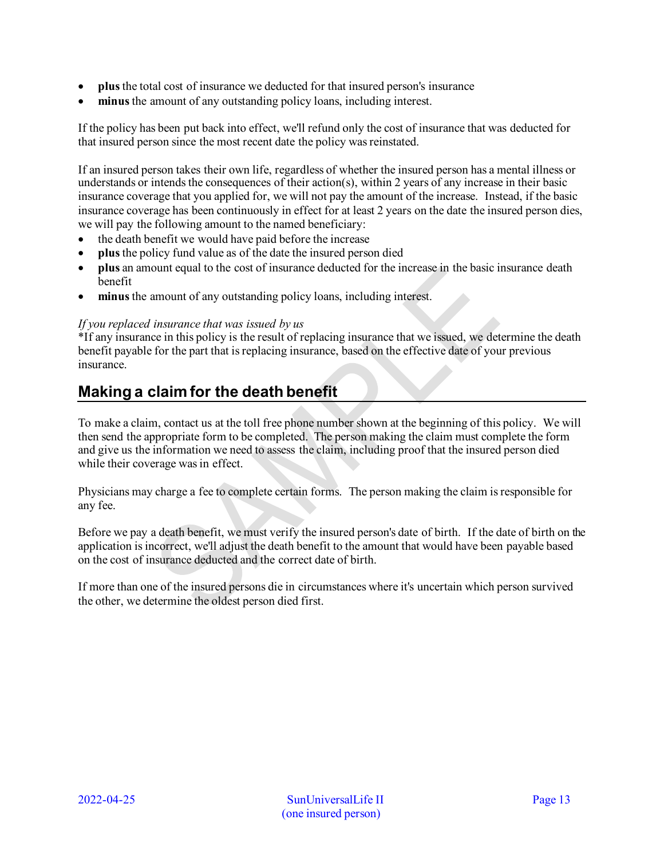- **plus** the total cost of insurance we deducted for that insured person's insurance
- minus the amount of any outstanding policy loans, including interest.

If the policy has been put back into effect, we'll refund only the cost of insurance that was deducted for that insured person since the most recent date the policy was reinstated.

If an insured person takes their own life, regardless of whether the insured person has a mental illness or understands or intends the consequences of their action(s), within 2 years of any increase in their basic insurance coverage that you applied for, we will not pay the amount of the increase. Instead, if the basic insurance coverage has been continuously in effect for at least 2 years on the date the insured person dies, we will pay the following amount to the named beneficiary:

- the death benefit we would have paid before the increase
- **plus**the policy fund value as of the date the insured person died
- **plus** an amount equal to the cost of insurance deducted for the increase in the basic insurance death benefit
- **minus** the amount of any outstanding policy loans, including interest.

#### *If you replaced insurance that was issued by us*

\*If any insurance in this policy is the result of replacing insurance that we issued, we determine the death benefit payable for the part that is replacing insurance, based on the effective date of your previous insurance.

# <span id="page-12-0"></span>**Making a claim for the death benefit**

To make a claim, contact us at the toll free phone number shown at the beginning of this policy. We will then send the appropriate form to be completed. The person making the claim must complete the form and give us the information we need to assess the claim, including proof that the insured person died while their coverage was in effect.

Physicians may charge a fee to complete certain forms. The person making the claim is responsible for any fee.

Before we pay a death benefit, we must verify the insured person's date of birth. If the date of birth on the application is incorrect, we'll adjust the death benefit to the amount that would have been payable based on the cost of insurance deducted and the correct date of birth.

If more than one of the insured persons die in circumstances where it's uncertain which person survived the other, we determine the oldest person died first.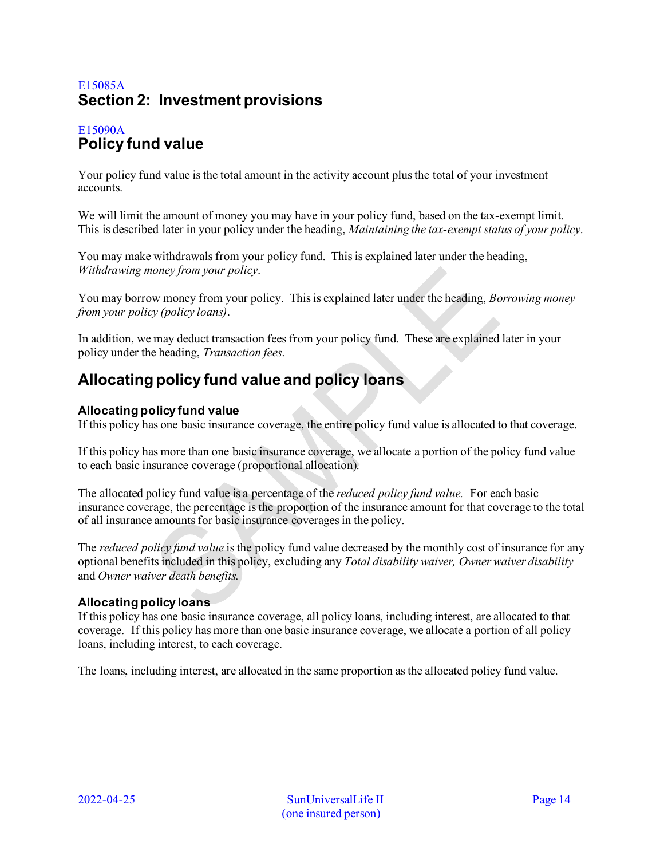## <span id="page-13-0"></span>E15085A **Section 2: Investment provisions**

## <span id="page-13-1"></span>E15090A **Policy fund value**

Your policy fund value is the total amount in the activity account plus the total of your investment accounts.

We will limit the amount of money you may have in your policy fund, based on the tax-exempt limit. This is described later in your policy under the heading, *Maintaining the tax-exempt status of your policy*.

You may make withdrawals from your policy fund. This is explained later under the heading, *Withdrawing money from your policy*.

You may borrow money from your policy. This is explained later under the heading, *Borrowing money from your policy (policy loans)*.

In addition, we may deduct transaction fees from your policy fund. These are explained later in your policy under the heading, *Transaction fees*.

# <span id="page-13-2"></span>**Allocating policy fund value and policy loans**

## **Allocating policy fund value**

If this policy has one basic insurance coverage, the entire policy fund value is allocated to that coverage.

If this policy has more than one basic insurance coverage, we allocate a portion of the policy fund value to each basic insurance coverage (proportional allocation).

The allocated policy fund value is a percentage of the *reduced policy fund value.* For each basic insurance coverage, the percentage is the proportion of the insurance amount for that coverage to the total of all insurance amounts for basic insurance coverages in the policy.

The *reduced policy fund value* is the policy fund value decreased by the monthly cost of insurance for any optional benefits included in this policy, excluding any *Total disability waiver, Owner waiver disability*  and *Owner waiver death benefits.*

## **Allocating policy loans**

If this policy has one basic insurance coverage, all policy loans, including interest, are allocated to that coverage. If this policy has more than one basic insurance coverage, we allocate a portion of all policy loans, including interest, to each coverage.

The loans, including interest, are allocated in the same proportion as the allocated policy fund value.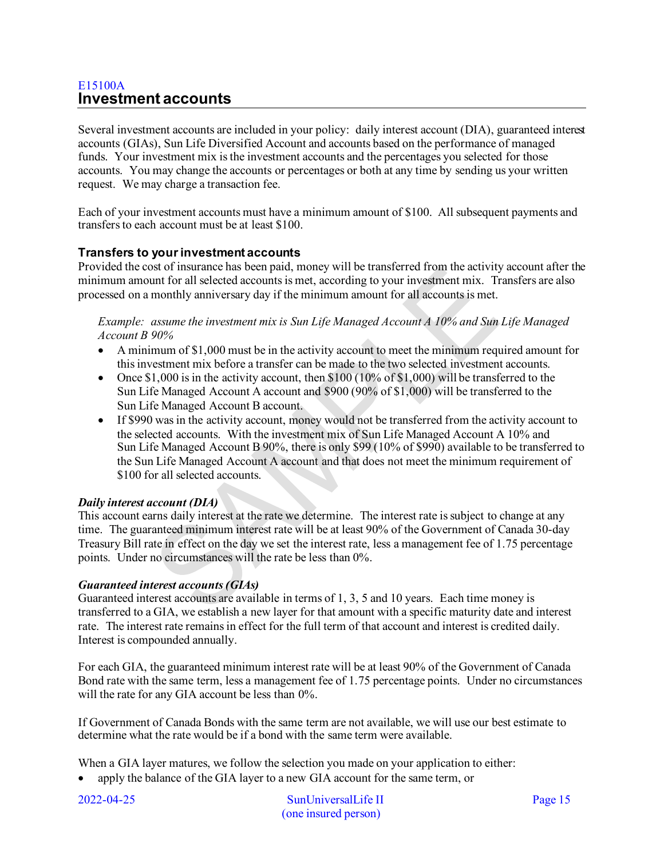## <span id="page-14-0"></span>E15100A **Investment accounts**

Several investment accounts are included in your policy: daily interest account (DIA), guaranteed interest accounts (GIAs), Sun Life Diversified Account and accounts based on the performance of managed funds. Your investment mix is the investment accounts and the percentages you selected for those accounts. You may change the accounts or percentages or both at any time by sending us your written request. We may charge a transaction fee.

Each of your investment accounts must have a minimum amount of \$100. All subsequent payments and transfers to each account must be at least \$100.

## **Transfers to your investment accounts**

Provided the cost of insurance has been paid, money will be transferred from the activity account after the minimum amount for all selected accounts is met, according to your investment mix. Transfers are also processed on a monthly anniversary day if the minimum amount for all accounts is met.

*Example: assume the investment mix is Sun Life Managed Account A 10% and Sun Life Managed Account B 90%*

- A minimum of \$1,000 must be in the activity account to meet the minimum required amount for this investment mix before a transfer can be made to the two selected investment accounts.
- Once  $$1,000$  is in the activity account, then  $$100 (10\% \text{ of } $1,000)$  will be transferred to the Sun Life Managed Account A account and \$900 (90% of \$1,000) will be transferred to the Sun Life Managed Account B account.
- If \$990 was in the activity account, money would not be transferred from the activity account to the selected accounts. With the investment mix of Sun Life Managed Account A 10% and Sun Life Managed Account B 90%, there is only \$99 (10% of \$990) available to be transferred to the Sun Life Managed Account A account and that does not meet the minimum requirement of \$100 for all selected accounts.

## *Daily interest account (DIA)*

This account earns daily interest at the rate we determine. The interest rate is subject to change at any time. The guaranteed minimum interest rate will be at least 90% of the Government of Canada 30-day Treasury Bill rate in effect on the day we set the interest rate, less a management fee of 1.75 percentage points. Under no circumstances will the rate be less than 0%.

## *Guaranteed interest accounts (GIAs)*

Guaranteed interest accounts are available in terms of 1, 3, 5 and 10 years. Each time money is transferred to a GIA, we establish a new layer for that amount with a specific maturity date and interest rate. The interest rate remains in effect for the full term of that account and interest is credited daily. Interest is compounded annually.

For each GIA, the guaranteed minimum interest rate will be at least 90% of the Government of Canada Bond rate with the same term, less a management fee of 1.75 percentage points. Under no circumstances will the rate for any GIA account be less than  $0\%$ .

If Government of Canada Bonds with the same term are not available, we will use our best estimate to determine what the rate would be if a bond with the same term were available.

When a GIA layer matures, we follow the selection you made on your application to either:

• apply the balance of the GIA layer to a new GIA account for the same term, or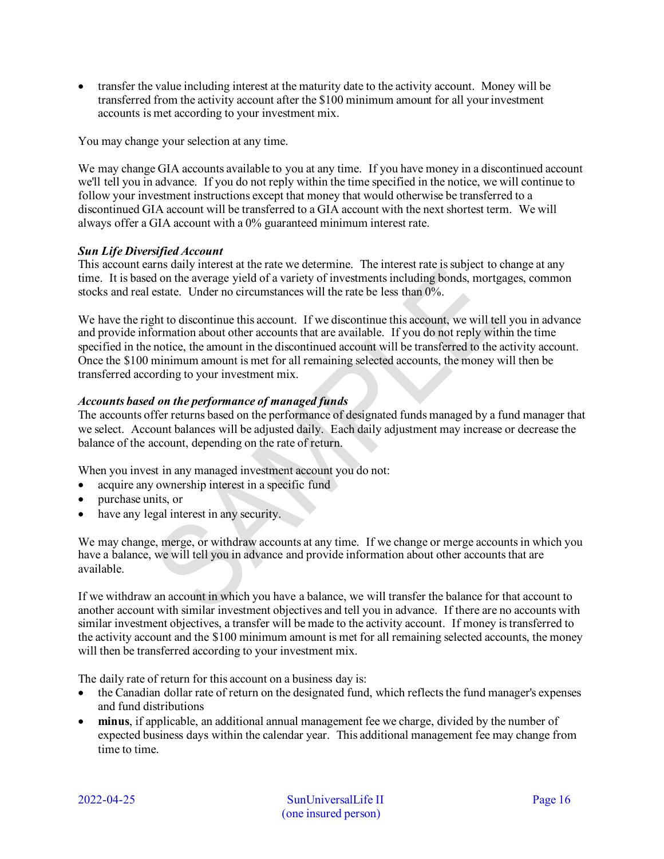• transfer the value including interest at the maturity date to the activity account. Money will be transferred from the activity account after the \$100 minimum amount for all your investment accounts is met according to your investment mix.

You may change your selection at any time.

We may change GIA accounts available to you at any time. If you have money in a discontinued account we'll tell you in advance. If you do not reply within the time specified in the notice, we will continue to follow your investment instructions except that money that would otherwise be transferred to a discontinued GIA account will be transferred to a GIA account with the next shortest term. We will always offer a GIA account with a 0% guaranteed minimum interest rate.

#### *Sun Life Diversified Account*

This account earns daily interest at the rate we determine. The interest rate is subject to change at any time. It is based on the average yield of a variety of investments including bonds, mortgages, common stocks and real estate. Under no circumstances will the rate be less than 0%.

We have the right to discontinue this account. If we discontinue this account, we will tell you in advance and provide information about other accounts that are available. If you do not reply within the time specified in the notice, the amount in the discontinued account will be transferred to the activity account. Once the \$100 minimum amount is met for all remaining selected accounts, the money will then be transferred according to your investment mix.

#### *Accounts based on the performance of managed funds*

The accounts offer returns based on the performance of designated funds managed by a fund manager that we select. Account balances will be adjusted daily. Each daily adjustment may increase or decrease the balance of the account, depending on the rate of return.

When you invest in any managed investment account you do not:

- acquire any ownership interest in a specific fund
- purchase units, or
- have any legal interest in any security.

We may change, merge, or withdraw accounts at any time. If we change or merge accounts in which you have a balance, we will tell you in advance and provide information about other accounts that are available.

If we withdraw an account in which you have a balance, we will transfer the balance for that account to another account with similar investment objectives and tell you in advance. If there are no accounts with similar investment objectives, a transfer will be made to the activity account. If money is transferred to the activity account and the \$100 minimum amount is met for all remaining selected accounts, the money will then be transferred according to your investment mix.

The daily rate of return for this account on a business day is:

- the Canadian dollar rate of return on the designated fund, which reflects the fund manager's expenses and fund distributions
- **minus**, if applicable, an additional annual management fee we charge, divided by the number of expected business days within the calendar year. This additional management fee may change from time to time.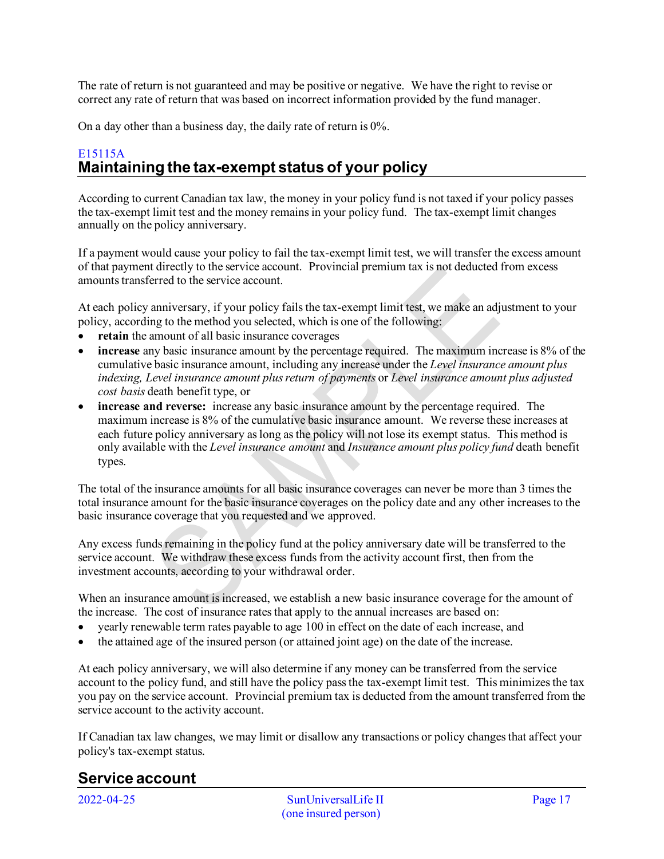The rate of return is not guaranteed and may be positive or negative. We have the right to revise or correct any rate of return that was based on incorrect information provided by the fund manager.

On a day other than a business day, the daily rate of return is 0%.

## <span id="page-16-0"></span>E15115A **Maintaining the tax-exempt status of your policy**

According to current Canadian tax law, the money in your policy fund is not taxed if your policy passes the tax-exempt limit test and the money remains in your policy fund. The tax-exempt limit changes annually on the policy anniversary.

If a payment would cause your policy to fail the tax-exempt limit test, we will transfer the excess amount of that payment directly to the service account. Provincial premium tax is not deducted from excess amounts transferred to the service account.

At each policy anniversary, if your policy fails the tax-exempt limit test, we make an adjustment to your policy, according to the method you selected, which is one of the following:

- retain the amount of all basic insurance coverages
- **increase** any basic insurance amount by the percentage required. The maximum increase is 8% of the cumulative basic insurance amount, including any increase under the *Level insurance amount plus indexing, Level insurance amount plus return of payments* or *Level insurance amount plus adjusted cost basis* death benefit type, or
- **increase and reverse:** increase any basic insurance amount by the percentage required. The maximum increase is 8% of the cumulative basic insurance amount. We reverse these increases at each future policy anniversary as long asthe policy will not lose its exempt status. This method is only available with the *Level insurance amount* and *Insurance amount plus policy fund* death benefit types.

The total of the insurance amounts for all basic insurance coverages can never be more than 3 times the total insurance amount for the basic insurance coverages on the policy date and any other increases to the basic insurance coverage that you requested and we approved.

Any excess funds remaining in the policy fund at the policy anniversary date will be transferred to the service account. We withdraw these excess funds from the activity account first, then from the investment accounts, according to your withdrawal order.

When an insurance amount is increased, we establish a new basic insurance coverage for the amount of the increase. The cost of insurance rates that apply to the annual increases are based on:

- yearly renewable term rates payable to age 100 in effect on the date of each increase, and
- the attained age of the insured person (or attained joint age) on the date of the increase.

At each policy anniversary, we will also determine if any money can be transferred from the service account to the policy fund, and still have the policy pass the tax-exempt limit test. This minimizes the tax you pay on the service account. Provincial premium tax is deducted from the amount transferred from the service account to the activity account.

If Canadian tax law changes, we may limit or disallow any transactions or policy changes that affect your policy's tax-exempt status.

# <span id="page-16-1"></span>**Service account**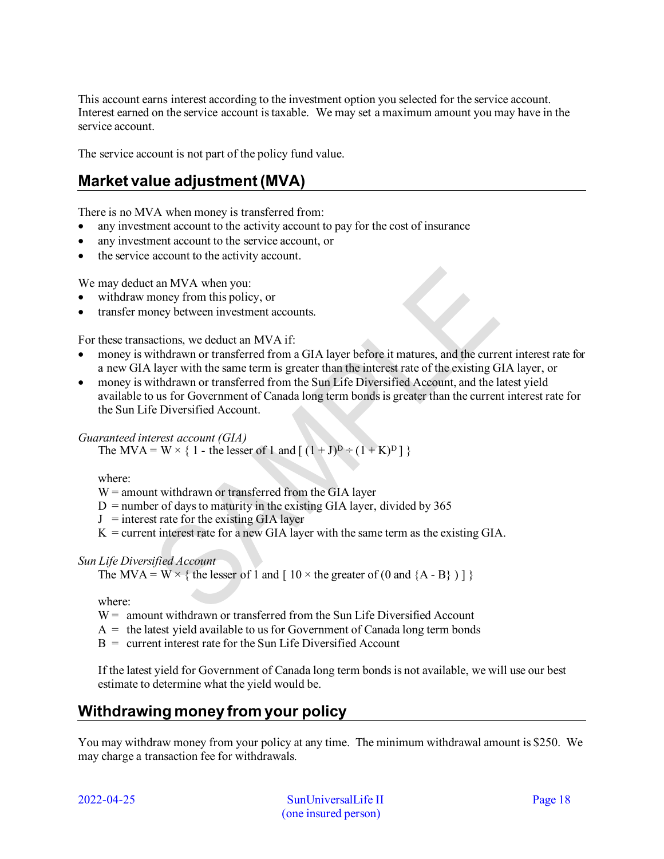This account earns interest according to the investment option you selected for the service account. Interest earned on the service account is taxable. We may set a maximum amount you may have in the service account.

The service account is not part of the policy fund value.

# <span id="page-17-0"></span>**Market value adjustment (MVA)**

There is no MVA when money is transferred from:

- any investment account to the activity account to pay for the cost of insurance
- any investment account to the service account, or
- the service account to the activity account.

We may deduct an MVA when you:

- withdraw money from this policy, or
- transfer money between investment accounts.

For these transactions, we deduct an MVA if:

- money is withdrawn or transferred from a GIA layer before it matures, and the current interest rate for a new GIA layer with the same term is greater than the interest rate of the existing GIA layer, or
- money is withdrawn or transferred from the Sun Life Diversified Account, and the latest yield available to us for Government of Canada long term bonds is greater than the current interest rate for the Sun Life Diversified Account.

## *Guaranteed interest account (GIA)*

The MVA = W  $\times$  { 1 - the lesser of 1 and [  $(1 + J)^D$  ÷  $(1 + K)^D$  ] }

where:

 $W =$  amount withdrawn or transferred from the GIA layer

- $D =$  number of days to maturity in the existing GIA layer, divided by 365
- $J =$  interest rate for the existing GIA layer
- $K =$  current interest rate for a new GIA layer with the same term as the existing GIA.

## *Sun Life Diversified Account*

The MVA = W  $\times$  { the lesser of 1 and [ 10  $\times$  the greater of (0 and {A - B} ) ] }

where:

- $W =$  amount withdrawn or transferred from the Sun Life Diversified Account
- $A =$  the latest yield available to us for Government of Canada long term bonds
- $B =$  current interest rate for the Sun Life Diversified Account

If the latest yield for Government of Canada long term bonds is not available, we will use our best estimate to determine what the yield would be.

# <span id="page-17-1"></span>**Withdrawing money from your policy**

You may withdraw money from your policy at any time. The minimum withdrawal amount is \$250. We may charge a transaction fee for withdrawals.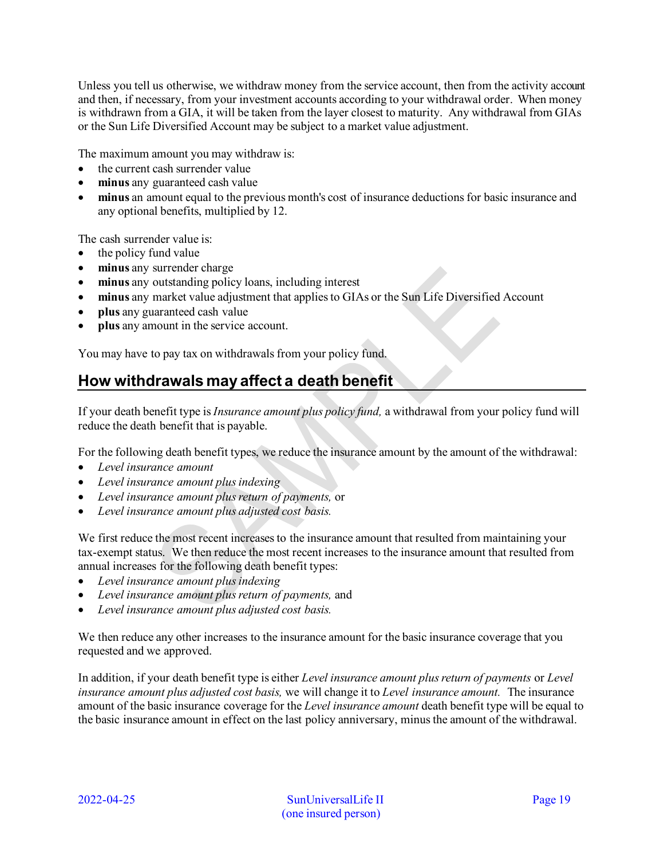Unless you tell us otherwise, we withdraw money from the service account, then from the activity account and then, if necessary, from your investment accounts according to your withdrawal order. When money is withdrawn from a GIA, it will be taken from the layer closest to maturity. Any withdrawal from GIAs or the Sun Life Diversified Account may be subject to a market value adjustment.

The maximum amount you may withdraw is:

- the current cash surrender value
- **minus** any guaranteed cash value
- **minus** an amount equal to the previous month's cost of insurance deductions for basic insurance and any optional benefits, multiplied by 12.

The cash surrender value is:

- the policy fund value
- **minus** any surrender charge
- **minus** any outstanding policy loans, including interest
- **minus** any market value adjustment that applies to GIAs or the Sun Life Diversified Account
- **plus** any guaranteed cash value
- **plus** any amount in the service account.

You may have to pay tax on withdrawals from your policy fund.

# <span id="page-18-0"></span>**How withdrawals may affect a death benefit**

If your death benefit type is *Insurance amount plus policy fund,* a withdrawal from your policy fund will reduce the death benefit that is payable.

For the following death benefit types, we reduce the insurance amount by the amount of the withdrawal:

- *Level insurance amount*
- *Level insurance amount plus indexing*
- *Level insurance amount plus return of payments,* or
- *Level insurance amount plus adjusted cost basis.*

We first reduce the most recent increases to the insurance amount that resulted from maintaining your tax-exempt status. We then reduce the most recent increases to the insurance amount that resulted from annual increases for the following death benefit types:

- *Level insurance amount plus indexing*
- *Level insurance amount plus return of payments,* and
- *Level insurance amount plus adjusted cost basis.*

We then reduce any other increases to the insurance amount for the basic insurance coverage that you requested and we approved.

In addition, if your death benefit type is either *Level insurance amount plus return of payments* or *Level insurance amount plus adjusted cost basis,* we will change it to *Level insurance amount.* The insurance amount of the basic insurance coverage for the *Level insurance amount* death benefit type will be equal to the basic insurance amount in effect on the last policy anniversary, minus the amount of the withdrawal.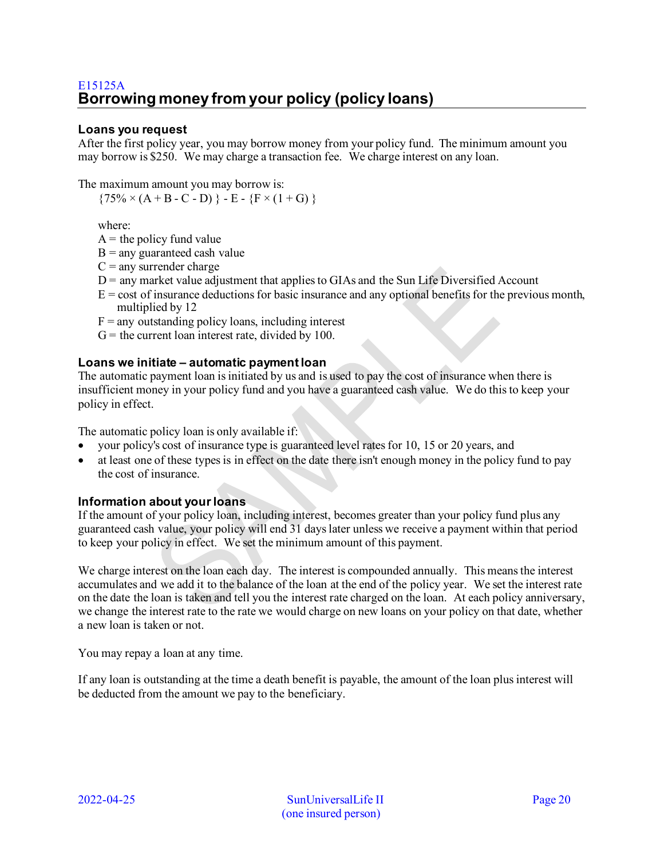## <span id="page-19-0"></span>**Loans you request**

After the first policy year, you may borrow money from your policy fund. The minimum amount you may borrow is \$250. We may charge a transaction fee. We charge interest on any loan.

The maximum amount you may borrow is:

 $\{75\% \times (A + B - C - D) \} - E - \{F \times (1 + G) \}$ 

where:

 $A =$  the policy fund value

- $B =$ any guaranteed cash value
- $C =$  any surrender charge
- $D$  = any market value adjustment that applies to GIAs and the Sun Life Diversified Account
- $E = \text{cost of insurance deductions}$  for basic insurance and any optional benefits for the previous month, multiplied by 12
- $F =$ any outstanding policy loans, including interest
- $G =$  the current loan interest rate, divided by 100.

#### **Loans we initiate – automatic payment loan**

The automatic payment loan is initiated by us and is used to pay the cost of insurance when there is insufficient money in your policy fund and you have a guaranteed cash value. We do this to keep your policy in effect.

The automatic policy loan is only available if:

- your policy's cost of insurance type is guaranteed level rates for 10, 15 or 20 years, and
- at least one of these types is in effect on the date there isn't enough money in the policy fund to pay the cost of insurance.

#### **Information about your loans**

If the amount of your policy loan, including interest, becomes greater than your policy fund plus any guaranteed cash value, your policy will end 31 days later unless we receive a payment within that period to keep your policy in effect. We set the minimum amount of this payment.

We charge interest on the loan each day. The interest is compounded annually. This means the interest accumulates and we add it to the balance of the loan at the end of the policy year. We set the interest rate on the date the loan is taken and tell you the interest rate charged on the loan. At each policy anniversary, we change the interest rate to the rate we would charge on new loans on your policy on that date, whether a new loan is taken or not.

You may repay a loan at any time.

If any loan is outstanding at the time a death benefit is payable, the amount of the loan plus interest will be deducted from the amount we pay to the beneficiary.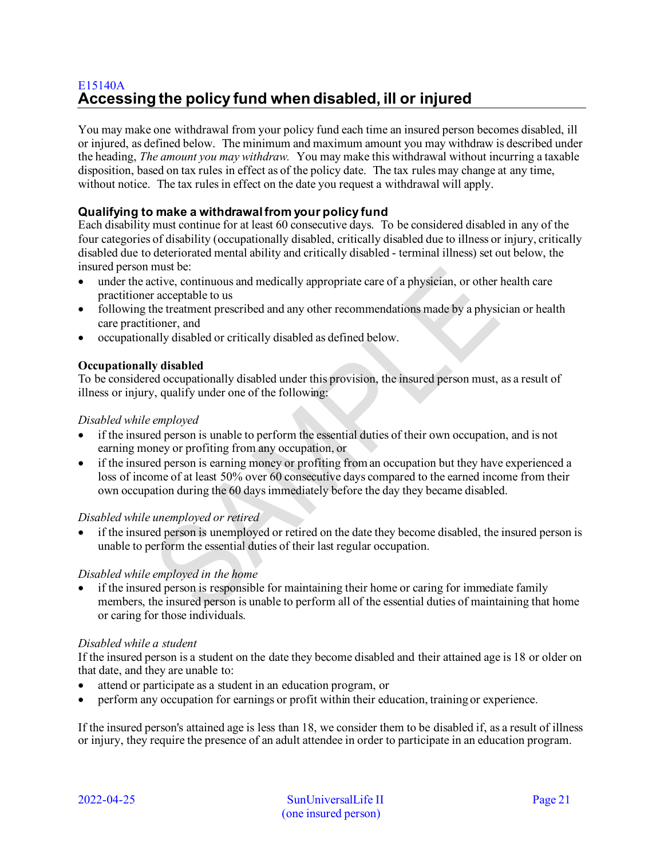## <span id="page-20-0"></span>E15140A **Accessing the policy fund when disabled, ill or injured**

You may make one withdrawal from your policy fund each time an insured person becomes disabled, ill or injured, as defined below. The minimum and maximum amount you may withdraw is described under the heading, *The amount you may withdraw.* You may make this withdrawal without incurring a taxable disposition, based on tax rules in effect as of the policy date. The tax rules may change at any time, without notice. The tax rules in effect on the date you request a withdrawal will apply.

## **Qualifying to make a withdrawal from your policy fund**

Each disability must continue for at least 60 consecutive days. To be considered disabled in any of the four categories of disability (occupationally disabled, critically disabled due to illness or injury, critically disabled due to deteriorated mental ability and critically disabled - terminal illness) set out below, the insured person must be:

- under the active, continuous and medically appropriate care of a physician, or other health care practitioner acceptable to us
- following the treatment prescribed and any other recommendations made by a physician or health care practitioner, and
- occupationally disabled or critically disabled as defined below.

#### **Occupationally disabled**

To be considered occupationally disabled under this provision, the insured person must, as a result of illness or injury, qualify under one of the following:

#### *Disabled while employed*

- if the insured person is unable to perform the essential duties of their own occupation, and is not earning money or profiting from any occupation, or
- if the insured person is earning money or profiting from an occupation but they have experienced a loss of income of at least 50% over 60 consecutive days compared to the earned income from their own occupation during the 60 days immediately before the day they became disabled.

#### *Disabled while unemployed or retired*

• if the insured person is unemployed or retired on the date they become disabled, the insured person is unable to perform the essential duties of their last regular occupation.

#### *Disabled while employed in the home*

• if the insured person is responsible for maintaining their home or caring for immediate family members, the insured person is unable to perform all of the essential duties of maintaining that home or caring for those individuals.

#### *Disabled while a student*

If the insured person is a student on the date they become disabled and their attained age is 18 or older on that date, and they are unable to:

- attend or participate as a student in an education program, or
- perform any occupation for earnings or profit within their education, training or experience.

If the insured person's attained age is less than 18, we consider them to be disabled if, as a result of illness or injury, they require the presence of an adult attendee in order to participate in an education program.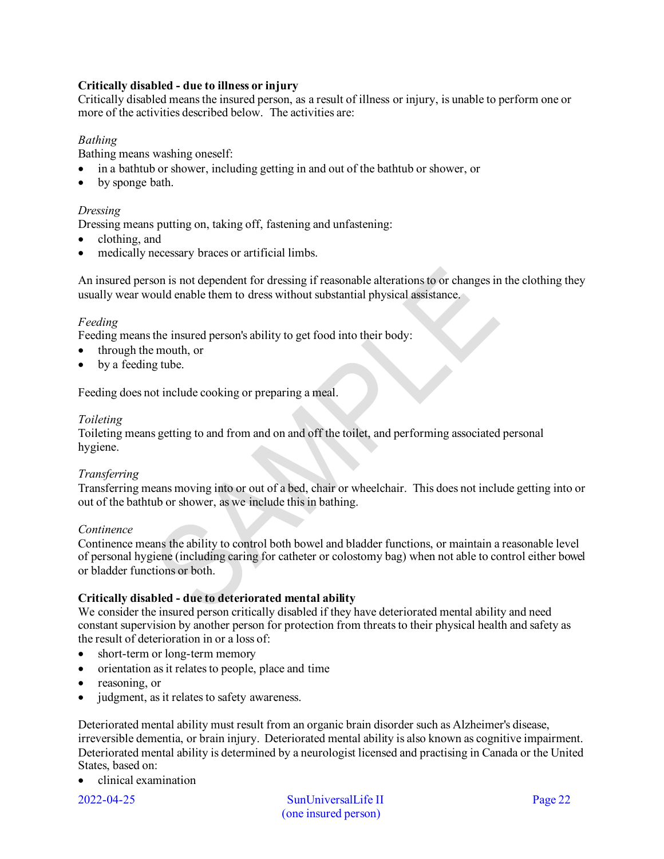### **Critically disabled - due to illness or injury**

Critically disabled means the insured person, as a result of illness or injury, is unable to perform one or more of the activities described below. The activities are:

#### *Bathing*

Bathing means washing oneself:

- in a bathtub or shower, including getting in and out of the bathtub or shower, or
- by sponge bath.

#### *Dressing*

Dressing means putting on, taking off, fastening and unfastening:

- clothing, and
- medically necessary braces or artificial limbs.

An insured person is not dependent for dressing if reasonable alterations to or changes in the clothing they usually wear would enable them to dress without substantial physical assistance.

#### *Feeding*

Feeding means the insured person's ability to get food into their body:

- through the mouth, or
- by a feeding tube.

Feeding does not include cooking or preparing a meal.

#### *Toileting*

Toileting means getting to and from and on and off the toilet, and performing associated personal hygiene.

#### *Transferring*

Transferring means moving into or out of a bed, chair or wheelchair. This does not include getting into or out of the bathtub or shower, as we include this in bathing.

#### *Continence*

Continence means the ability to control both bowel and bladder functions, or maintain a reasonable level of personal hygiene (including caring for catheter or colostomy bag) when not able to control either bowel or bladder functions or both.

#### **Critically disabled - due to deteriorated mental ability**

We consider the insured person critically disabled if they have deteriorated mental ability and need constant supervision by another person for protection from threats to their physical health and safety as the result of deterioration in or a loss of:

- short-term or long-term memory
- orientation as it relates to people, place and time
- reasoning, or
- judgment, as it relates to safety awareness.

Deteriorated mental ability must result from an organic brain disorder such as Alzheimer's disease, irreversible dementia, or brain injury. Deteriorated mental ability is also known as cognitive impairment. Deteriorated mental ability is determined by a neurologist licensed and practising in Canada or the United States, based on:

• clinical examination

2022-04-25 SunUniversalLife II Page 22 (one insured person)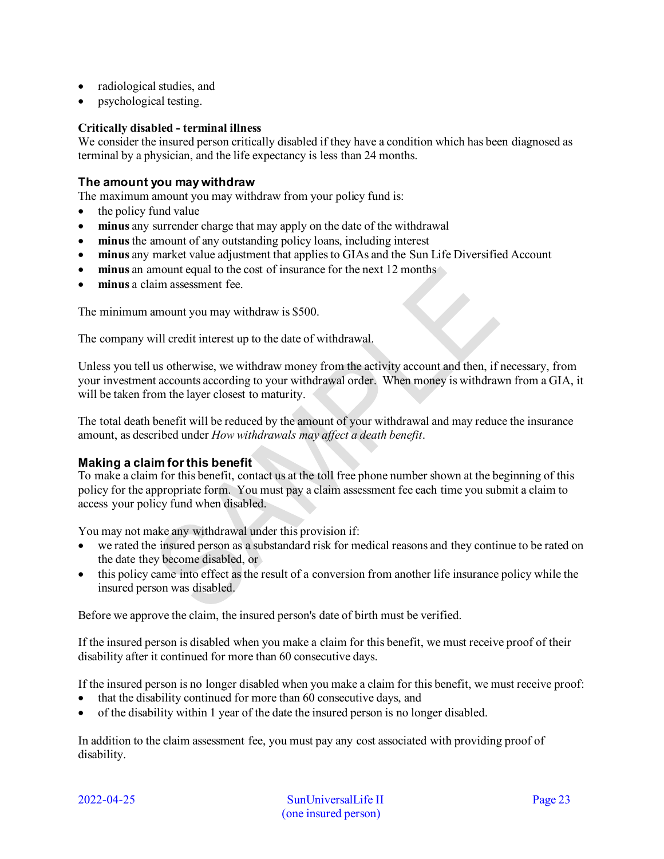- radiological studies, and
- psychological testing.

#### **Critically disabled - terminal illness**

We consider the insured person critically disabled if they have a condition which has been diagnosed as terminal by a physician, and the life expectancy is less than 24 months.

#### **The amount you may withdraw**

The maximum amount you may withdraw from your policy fund is:

- the policy fund value
- **minus** any surrender charge that may apply on the date of the withdrawal
- **minus**the amount of any outstanding policy loans, including interest
- **minus** any market value adjustment that applies to GIAs and the Sun Life Diversified Account
- **minus** an amount equal to the cost of insurance for the next 12 months
- **minus** a claim assessment fee.

The minimum amount you may withdraw is \$500.

The company will credit interest up to the date of withdrawal.

Unless you tell us otherwise, we withdraw money from the activity account and then, if necessary, from your investment accounts according to your withdrawal order. When money is withdrawn from a GIA, it will be taken from the layer closest to maturity.

The total death benefit will be reduced by the amount of your withdrawal and may reduce the insurance amount, as described under *How withdrawals may affect a death benefit*.

#### **Making a claim for this benefit**

To make a claim for this benefit, contact us at the toll free phone number shown at the beginning of this policy for the appropriate form. You must pay a claim assessment fee each time you submit a claim to access your policy fund when disabled.

You may not make any withdrawal under this provision if:

- we rated the insured person as a substandard risk for medical reasons and they continue to be rated on the date they become disabled, or
- this policy came into effect as the result of a conversion from another life insurance policy while the insured person was disabled.

Before we approve the claim, the insured person's date of birth must be verified.

If the insured person is disabled when you make a claim for this benefit, we must receive proof of their disability after it continued for more than 60 consecutive days.

If the insured person is no longer disabled when you make a claim for this benefit, we must receive proof:

- that the disability continued for more than 60 consecutive days, and
- of the disability within 1 year of the date the insured person is no longer disabled.

In addition to the claim assessment fee, you must pay any cost associated with providing proof of disability.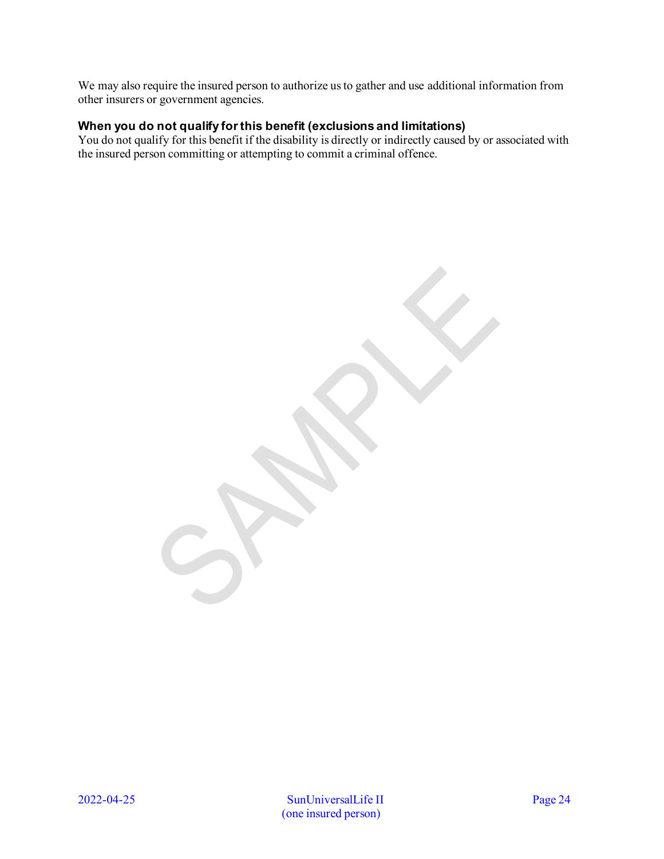We may also require the insured person to authorize us to gather and use additional information from other insurers or government agencies.

## **When you do not qualify for this benefit (exclusions and limitations)**

You do not qualify for this benefit if the disability is directly or indirectly caused by or associated with the insured person committing or attempting to commit a criminal offence.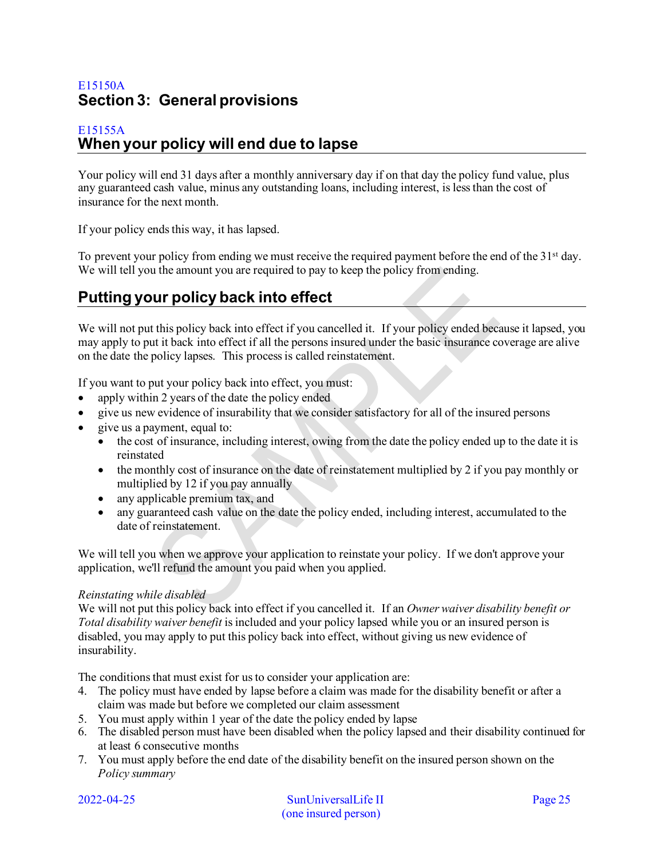## <span id="page-24-0"></span>E15150A **Section 3: General provisions**

## <span id="page-24-1"></span>E15155A **When your policy will end due to lapse**

Your policy will end 31 days after a monthly anniversary day if on that day the policy fund value, plus any guaranteed cash value, minus any outstanding loans, including interest, is less than the cost of insurance for the next month.

If your policy ends this way, it has lapsed.

To prevent your policy from ending we must receive the required payment before the end of the 31<sup>st</sup> day. We will tell you the amount you are required to pay to keep the policy from ending.

# <span id="page-24-2"></span>**Putting your policy back into effect**

We will not put this policy back into effect if you cancelled it. If your policy ended because it lapsed, you may apply to put it back into effect if all the persons insured under the basic insurance coverage are alive on the date the policy lapses. This process is called reinstatement.

If you want to put your policy back into effect, you must:

- apply within 2 years of the date the policy ended
- give us new evidence of insurability that we consider satisfactory for all of the insured persons
- give us a payment, equal to:
	- the cost of insurance, including interest, owing from the date the policy ended up to the date it is reinstated
	- the monthly cost of insurance on the date of reinstatement multiplied by 2 if you pay monthly or multiplied by 12 if you pay annually
	- any applicable premium tax, and
	- any guaranteed cash value on the date the policy ended, including interest, accumulated to the date of reinstatement.

We will tell you when we approve your application to reinstate your policy. If we don't approve your application, we'll refund the amount you paid when you applied.

#### *Reinstating while disabled*

We will not put this policy back into effect if you cancelled it. If an *Owner waiver disability benefit or Total disability waiver benefit* is included and your policy lapsed while you or an insured person is disabled, you may apply to put this policy back into effect, without giving us new evidence of insurability.

The conditions that must exist for us to consider your application are:

- 4. The policy must have ended by lapse before a claim was made for the disability benefit or after a claim was made but before we completed our claim assessment
- 5. You must apply within 1 year of the date the policy ended by lapse
- 6. The disabled person must have been disabled when the policy lapsed and their disability continued for at least 6 consecutive months
- 7. You must apply before the end date of the disability benefit on the insured person shown on the *Policy summary*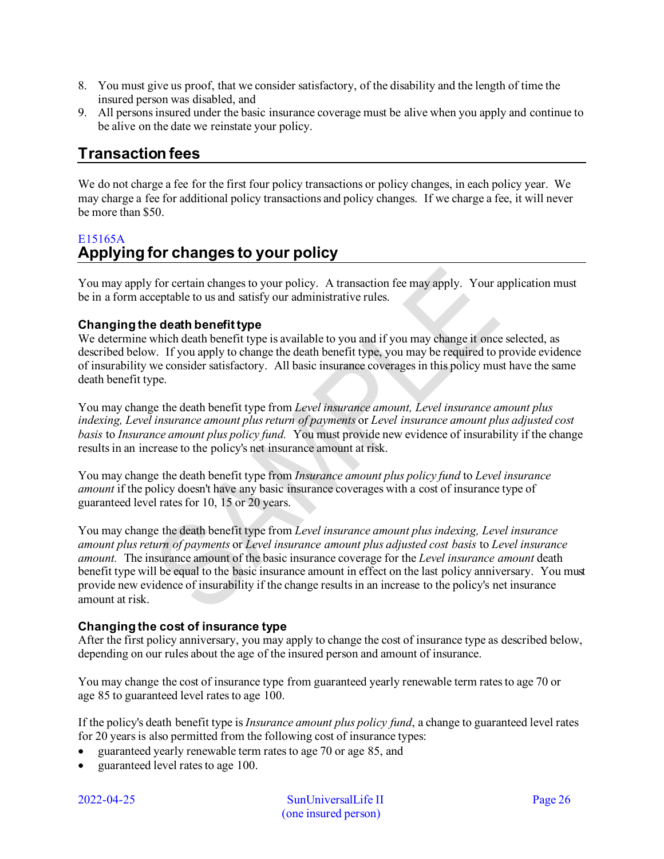- 8. You must give us proof, that we consider satisfactory, of the disability and the length of time the insured person was disabled, and
- 9. All persons insured under the basic insurance coverage must be alive when you apply and continue to be alive on the date we reinstate your policy.

# <span id="page-25-0"></span>**Transaction fees**

We do not charge a fee for the first four policy transactions or policy changes, in each policy year. We may charge a fee for additional policy transactions and policy changes. If we charge a fee, it will never be more than \$50.

## <span id="page-25-1"></span>E15165A **Applying for changes to your policy**

You may apply for certain changes to your policy. A transaction fee may apply. Your application must be in a form acceptable to us and satisfy our administrative rules.

## **Changing the death benefit type**

We determine which death benefit type is available to you and if you may change it once selected, as described below. If you apply to change the death benefit type, you may be required to provide evidence of insurability we consider satisfactory. All basic insurance coverages in this policy must have the same death benefit type.

You may change the death benefit type from *Level insurance amount, Level insurance amount plus indexing, Level insurance amount plus return of payments* or *Level insurance amount plus adjusted cost basis* to *Insurance amount plus policy fund.* You must provide new evidence of insurability if the change results in an increase to the policy's net insurance amount at risk.

You may change the death benefit type from *Insurance amount plus policy fund* to *Level insurance amount* if the policy doesn't have any basic insurance coverages with a cost of insurance type of guaranteed level rates for 10, 15 or 20 years.

You may change the death benefit type from *Level insurance amount plus indexing, Level insurance amount plus return of payments* or *Level insurance amount plus adjusted cost basis* to *Level insurance amount.* The insurance amount of the basic insurance coverage for the *Level insurance amount* death benefit type will be equal to the basic insurance amount in effect on the last policy anniversary. You must provide new evidence of insurability if the change results in an increase to the policy's net insurance amount at risk.

## **Changing the cost of insurance type**

After the first policy anniversary, you may apply to change the cost of insurance type as described below, depending on our rules about the age of the insured person and amount of insurance.

You may change the cost of insurance type from guaranteed yearly renewable term rates to age 70 or age 85 to guaranteed level rates to age 100.

If the policy's death benefit type is *Insurance amount plus policy fund*, a change to guaranteed level rates for 20 years is also permitted from the following cost of insurance types:

- guaranteed yearly renewable term rates to age 70 or age 85, and
- guaranteed level rates to age 100.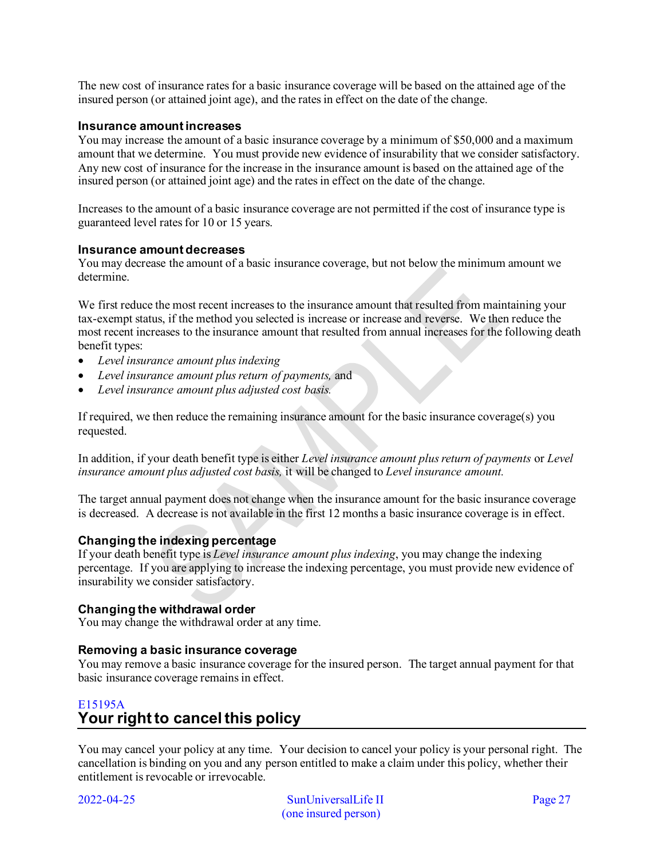The new cost of insurance rates for a basic insurance coverage will be based on the attained age of the insured person (or attained joint age), and the rates in effect on the date of the change.

#### **Insurance amount increases**

You may increase the amount of a basic insurance coverage by a minimum of \$50,000 and a maximum amount that we determine. You must provide new evidence of insurability that we consider satisfactory. Any new cost of insurance for the increase in the insurance amount is based on the attained age of the insured person (or attained joint age) and the rates in effect on the date of the change.

Increases to the amount of a basic insurance coverage are not permitted if the cost of insurance type is guaranteed level rates for 10 or 15 years.

#### **Insurance amount decreases**

You may decrease the amount of a basic insurance coverage, but not below the minimum amount we determine.

We first reduce the most recent increases to the insurance amount that resulted from maintaining your tax-exempt status, if the method you selected is increase or increase and reverse. We then reduce the most recent increases to the insurance amount that resulted from annual increases for the following death benefit types:

- *Level insurance amount plus indexing*
- *Level insurance amount plus return of payments,* and
- *Level insurance amount plus adjusted cost basis.*

If required, we then reduce the remaining insurance amount for the basic insurance coverage(s) you requested.

In addition, if your death benefit type is either *Level insurance amount plus return of payments* or *Level insurance amount plus adjusted cost basis,* it will be changed to *Level insurance amount.*

The target annual payment does not change when the insurance amount for the basic insurance coverage is decreased. A decrease is not available in the first 12 months a basic insurance coverage is in effect.

#### **Changing the indexing percentage**

If your death benefit type is *Level insurance amount plus indexing*, you may change the indexing percentage. If you are applying to increase the indexing percentage, you must provide new evidence of insurability we consider satisfactory.

## **Changing the withdrawal order**

You may change the withdrawal order at any time.

#### **Removing a basic insurance coverage**

You may remove a basic insurance coverage for the insured person. The target annual payment for that basic insurance coverage remains in effect.

## <span id="page-26-0"></span>E15195A **Your right to cancel this policy**

You may cancel your policy at any time. Your decision to cancel your policy is your personal right. The cancellation is binding on you and any person entitled to make a claim under this policy, whether their entitlement is revocable or irrevocable.

2022-04-25 SunUniversalLife II Page 27 (one insured person)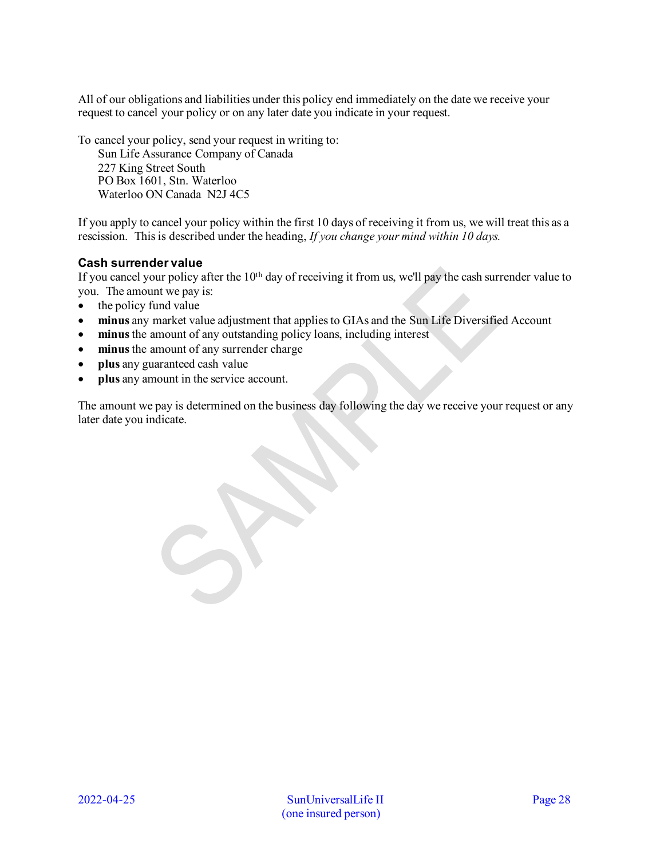All of our obligations and liabilities under this policy end immediately on the date we receive your request to cancel your policy or on any later date you indicate in your request.

To cancel your policy, send your request in writing to:

Sun Life Assurance Company of Canada 227 King Street South PO Box 1601, Stn. Waterloo Waterloo ON Canada N2J 4C5

If you apply to cancel your policy within the first 10 days of receiving it from us, we will treat this as a rescission. This is described under the heading, *If you change your mind within 10 days.* 

## **Cash surrender value**

If you cancel your policy after the 10<sup>th</sup> day of receiving it from us, we'll pay the cash surrender value to you. The amount we pay is:

- the policy fund value
- **minus** any market value adjustment that applies to GIAs and the Sun Life Diversified Account
- **minus**the amount of any outstanding policy loans, including interest
- minus the amount of any surrender charge
- **plus** any guaranteed cash value
- **plus** any amount in the service account.

The amount we pay is determined on the business day following the day we receive your request or any later date you indicate.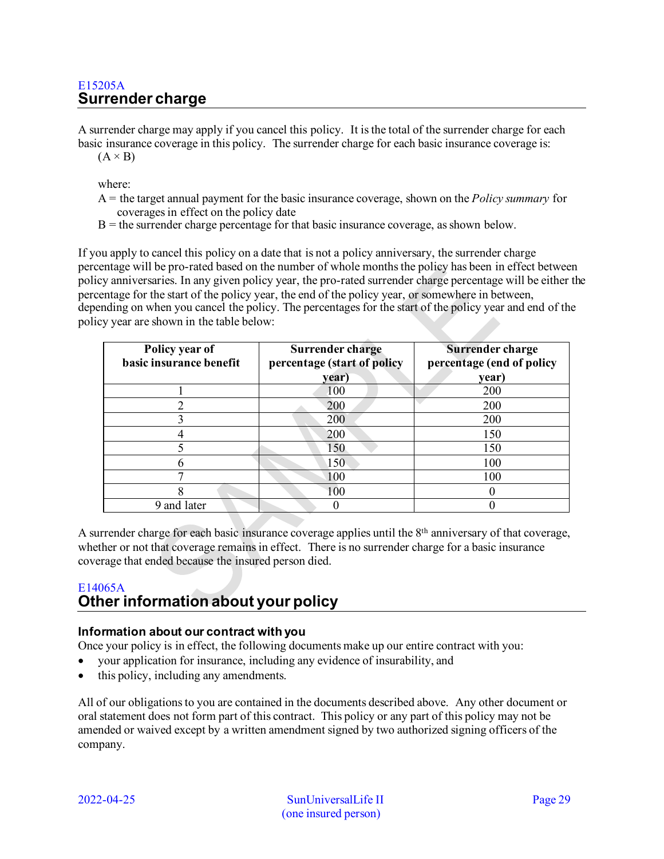## <span id="page-28-0"></span>E15205A **Surrender charge**

A surrender charge may apply if you cancel this policy. It is the total of the surrender charge for each basic insurance coverage in this policy. The surrender charge for each basic insurance coverage is:  $(A \times B)$ 

where:

- A = the target annual payment for the basic insurance coverage, shown on the *Policy summary* for coverages in effect on the policy date
- $B =$  the surrender charge percentage for that basic insurance coverage, as shown below.

If you apply to cancel this policy on a date that is not a policy anniversary, the surrender charge percentage will be pro-rated based on the number of whole months the policy has been in effect between policy anniversaries. In any given policy year, the pro-rated surrender charge percentage will be either the percentage for the start of the policy year, the end of the policy year, or somewhere in between, depending on when you cancel the policy. The percentages for the start of the policy year and end of the policy year are shown in the table below:

| Policy year of<br>basic insurance benefit | Surrender charge<br>percentage (start of policy<br>year) | <b>Surrender charge</b><br>percentage (end of policy<br>year) |
|-------------------------------------------|----------------------------------------------------------|---------------------------------------------------------------|
|                                           | 100                                                      | 200                                                           |
|                                           | 200                                                      | 200                                                           |
|                                           | 200                                                      | 200                                                           |
|                                           | 200                                                      | 150                                                           |
|                                           | 150                                                      | 150                                                           |
|                                           | 150                                                      | 100                                                           |
| Ξ.                                        | 100                                                      | 100                                                           |
|                                           | 100                                                      |                                                               |
| 9 and later                               |                                                          |                                                               |

A surrender charge for each basic insurance coverage applies until the  $8<sup>th</sup>$  anniversary of that coverage, whether or not that coverage remains in effect. There is no surrender charge for a basic insurance coverage that ended because the insured person died.

## <span id="page-28-1"></span>E14065A **Other information about your policy**

## **Information about our contract with you**

Once your policy is in effect, the following documents make up our entire contract with you:

- your application for insurance, including any evidence of insurability, and
- this policy, including any amendments.

All of our obligations to you are contained in the documents described above. Any other document or oral statement does not form part of this contract. This policy or any part of this policy may not be amended or waived except by a written amendment signed by two authorized signing officers of the company.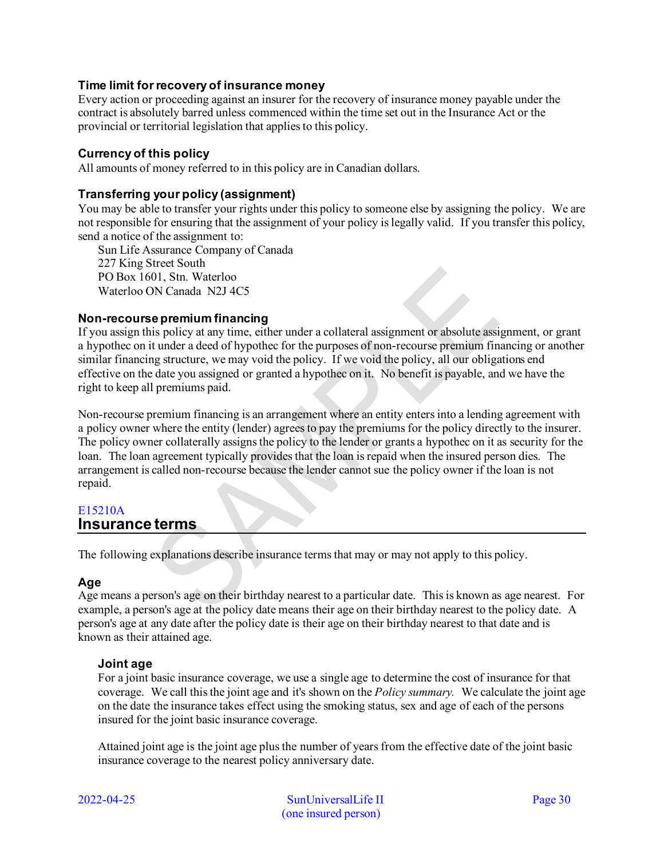## **Time limit for recovery of insurance money**

Every action or proceeding against an insurer for the recovery of insurance money payable under the contract is absolutely barred unless commenced within the time set out in the Insurance Act or the provincial or territorial legislation that applies to this policy.

#### **Currency of this policy**

All amounts of money referred to in this policy are in Canadian dollars.

#### **Transferring your policy (assignment)**

You may be able to transfer your rights under this policy to someone else by assigning the policy. We are not responsible for ensuring that the assignment of your policy is legally valid. If you transfer this policy, send a notice of the assignment to:

Sun Life Assurance Company of Canada 227 King Street South PO Box 1601, Stn. Waterloo Waterloo ON Canada N2J 4C5

#### **Non-recourse premium financing**

If you assign this policy at any time, either under a collateral assignment or absolute assignment, or grant a hypothec on it under a deed of hypothec for the purposes of non-recourse premium financing or another similar financing structure, we may void the policy. If we void the policy, all our obligations end effective on the date you assigned or granted a hypothec on it. No benefit is payable, and we have the right to keep all premiums paid.

Non-recourse premium financing is an arrangement where an entity enters into a lending agreement with a policy owner where the entity (lender) agrees to pay the premiums for the policy directly to the insurer. The policy owner collaterally assigns the policy to the lender or grants a hypothec on it as security for the loan. The loan agreement typically provides that the loan is repaid when the insured person dies. The arrangement is called non-recourse because the lender cannot sue the policy owner if the loan is not repaid.

#### <span id="page-29-0"></span>E15210A **Insurance terms**

The following explanations describe insurance terms that may or may not apply to this policy.

## **Age**

Age means a person's age on their birthday nearest to a particular date. This is known as age nearest. For example, a person's age at the policy date means their age on their birthday nearest to the policy date. A person's age at any date after the policy date is their age on their birthday nearest to that date and is known as their attained age.

#### **Joint age**

For a joint basic insurance coverage, we use a single age to determine the cost of insurance for that coverage. We call this the joint age and it's shown on the *Policy summary.* We calculate the joint age on the date the insurance takes effect using the smoking status, sex and age of each of the persons insured for the joint basic insurance coverage.

Attained joint age is the joint age plus the number of years from the effective date of the joint basic insurance coverage to the nearest policy anniversary date.